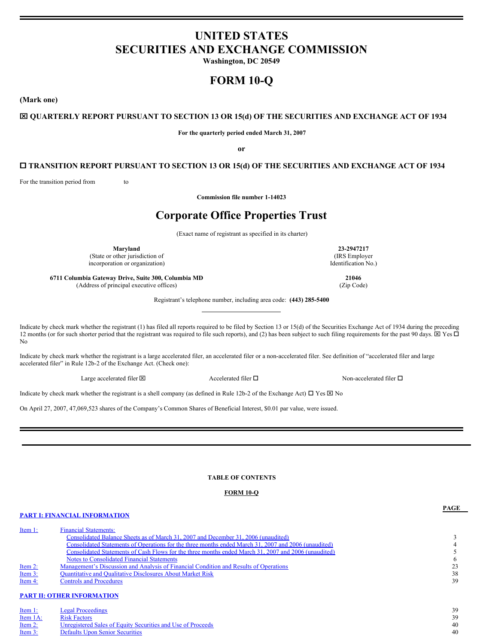# **UNITED STATES SECURITIES AND EXCHANGE COMMISSION**

**Washington, DC 20549**

# **FORM 10-Q**

**(Mark one)**

# x **QUARTERLY REPORT PURSUANT TO SECTION 13 OR 15(d) OF THE SECURITIES AND EXCHANGE ACT OF 1934**

## **For the quarterly period ended March 31, 2007**

**or**

# o **TRANSITION REPORT PURSUANT TO SECTION 13 OR 15(d) OF THE SECURITIES AND EXCHANGE ACT OF 1934**

For the transition period from to

**Commission file number 1-14023**

# **Corporate Office Properties Trust**

(Exact name of registrant as specified in its charter)

**Maryland 23-2947217**

(State or other jurisdiction of (IRS Employer incorporation or organization) Identification No.)

**6711 Columbia Gateway Drive, Suite 300, Columbia MD 21046** (Address of principal executive offices) (Zip Code)

Registrant's telephone number, including area code: **(443) 285-5400**

Indicate by check mark whether the registrant (1) has filed all reports required to be filed by Section 13 or 15(d) of the Securities Exchange Act of 1934 during the preceding 12 months (or for such shorter period that the registrant was required to file such reports), and (2) has been subject to such filing requirements for the past 90 days.  $\boxtimes$  Yes  $\Box$ No

Indicate by check mark whether the registrant is a large accelerated filer, an accelerated filer or a non-accelerated filer. See definition of "accelerated filer and large accelerated filer" in Rule 12b-2 of the Exchange Act. (Check one):

Large accelerated filer  $\square$ <br>Accelerated filer  $\square$  Non-accelerated filer  $\square$ 

**PAGE**

Indicate by check mark whether the registrant is a shell company (as defined in Rule 12b-2 of the Exchange Act)  $\Box$  Yes  $\boxtimes$  No

On April 27, 2007, 47,069,523 shares of the Company's Common Shares of Beneficial Interest, \$0.01 par value, were issued.

**TABLE OF CONTENTS**

## **FORM 10-Q**

# **PART I: FINANCIAL [INFORMATION](#page-1-0)**

| Item 1:    | <b>Financial Statements:</b>                                                                         |    |
|------------|------------------------------------------------------------------------------------------------------|----|
|            | Consolidated Balance Sheets as of March 31, 2007 and December 31, 2006 (unaudited)                   |    |
|            | Consolidated Statements of Operations for the three months ended March 31, 2007 and 2006 (unaudited) |    |
|            | Consolidated Statements of Cash Flows for the three months ended March 31, 2007 and 2006 (unaudited) |    |
|            | <b>Notes to Consolidated Financial Statements</b>                                                    | -6 |
| Item 2:    | Management's Discussion and Analysis of Financial Condition and Results of Operations                | 23 |
| Item $3$ : | <b>Quantitative and Qualitative Disclosures About Market Risk</b>                                    | 38 |
| Item 4:    | <b>Controls and Procedures</b>                                                                       | 39 |
|            |                                                                                                      |    |
|            | <b>PART II: OTHER INFORMATION</b>                                                                    |    |

| Item $1$ : | <b>Legal Proceedings</b>                                    | 39 |
|------------|-------------------------------------------------------------|----|
| Item 1A:   | <b>Risk Factors</b>                                         | 39 |
| Item $2$ : | Unregistered Sales of Equity Securities and Use of Proceeds | 40 |
| Item $3$ : | <b>Defaults Upon Senior Securities</b>                      | 40 |
|            |                                                             |    |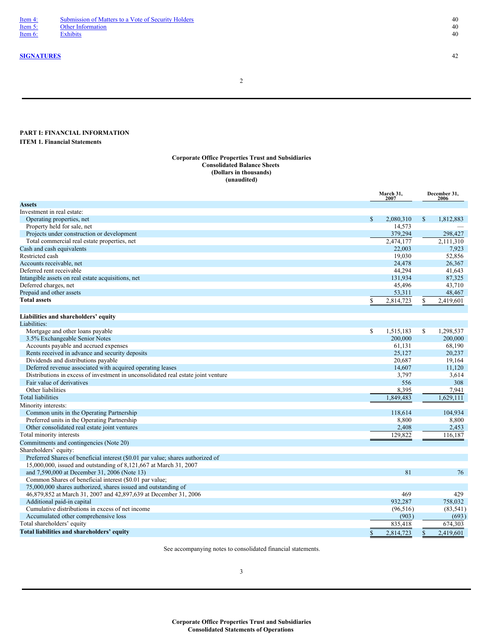<span id="page-1-2"></span>2

# **PART I: FINANCIAL INFORMATION**

# **ITEM 1. Financial Statements**

## <span id="page-1-1"></span><span id="page-1-0"></span>**Corporate Office Properties Trust and Subsidiaries Consolidated Balance Sheets (Dollars in thousands) (unaudited)**

|                                                                                   |             | March 31,<br>2007 |              | December 31,<br>2006 |  |
|-----------------------------------------------------------------------------------|-------------|-------------------|--------------|----------------------|--|
| <b>Assets</b>                                                                     |             |                   |              |                      |  |
| Investment in real estate:                                                        |             |                   |              |                      |  |
| Operating properties, net                                                         | $\mathbf S$ | 2,080,310         | $\mathbf{s}$ | 1,812,883            |  |
| Property held for sale, net                                                       |             | 14,573            |              |                      |  |
| Projects under construction or development                                        |             | 379,294           |              | 298,427              |  |
| Total commercial real estate properties, net                                      |             | 2,474,177         |              | 2,111,310            |  |
| Cash and cash equivalents                                                         |             | 22,003            |              | 7,923                |  |
| Restricted cash                                                                   |             | 19.030            |              | 52.856               |  |
| Accounts receivable, net                                                          |             | 24,478            |              | 26,367               |  |
| Deferred rent receivable                                                          |             | 44,294            |              | 41,643               |  |
| Intangible assets on real estate acquisitions, net                                |             | 131,934           |              | 87,325               |  |
| Deferred charges, net                                                             |             | 45,496            |              | 43,710               |  |
| Prepaid and other assets                                                          |             | 53,311            |              | 48,467               |  |
| <b>Total assets</b>                                                               | S           | 2,814,723         |              | 2,419,601            |  |
|                                                                                   |             |                   |              |                      |  |
| Liabilities and shareholders' equity                                              |             |                   |              |                      |  |
| Liabilities:                                                                      |             |                   |              |                      |  |
| Mortgage and other loans payable                                                  | \$          | 1,515,183         | S            | 1,298,537            |  |
| 3.5% Exchangeable Senior Notes                                                    |             | 200,000           |              | 200,000              |  |
| Accounts payable and accrued expenses                                             |             | 61,131            |              | 68,190               |  |
| Rents received in advance and security deposits                                   |             | 25,127            |              | 20.237               |  |
| Dividends and distributions payable                                               |             | 20,687            |              | 19,164               |  |
| Deferred revenue associated with acquired operating leases                        |             | 14,607            |              | 11,120               |  |
| Distributions in excess of investment in unconsolidated real estate joint venture |             | 3,797             |              | 3,614                |  |
| Fair value of derivatives                                                         |             | 556               |              | 308                  |  |
| Other liabilities                                                                 |             | 8,395             |              | 7,941                |  |
| <b>Total liabilities</b>                                                          |             | 1,849,483         |              | 1,629,111            |  |
| Minority interests:                                                               |             |                   |              |                      |  |
| Common units in the Operating Partnership                                         |             | 118,614           |              | 104,934              |  |
| Preferred units in the Operating Partnership                                      |             | 8,800             |              | 8,800                |  |
| Other consolidated real estate joint ventures                                     |             | 2,408             |              | 2,453                |  |
| Total minority interests                                                          |             | 129,822           |              | 116,187              |  |
| Commitments and contingencies (Note 20)                                           |             |                   |              |                      |  |
| Shareholders' equity:                                                             |             |                   |              |                      |  |
| Preferred Shares of beneficial interest (\$0.01 par value; shares authorized of   |             |                   |              |                      |  |
| 15,000,000, issued and outstanding of 8,121,667 at March 31, 2007                 |             |                   |              |                      |  |
| and 7,590,000 at December 31, 2006 (Note 13)                                      |             | 81                |              | 76                   |  |
| Common Shares of beneficial interest (\$0.01 par value;                           |             |                   |              |                      |  |
| 75,000,000 shares authorized, shares issued and outstanding of                    |             |                   |              |                      |  |
| 46,879,852 at March 31, 2007 and 42,897,639 at December 31, 2006                  |             | 469               |              | 429                  |  |
| Additional paid-in capital                                                        |             | 932,287           |              | 758,032              |  |
| Cumulative distributions in excess of net income                                  |             | (96, 516)         |              | (83, 541)            |  |
| Accumulated other comprehensive loss                                              |             | (903)             |              | (693)                |  |
| Total shareholders' equity                                                        |             | 835,418           |              | 674,303              |  |
| Total liabilities and shareholders' equity                                        | \$          | 2.814.723         | \$           | 2,419,601            |  |

<span id="page-1-3"></span>See accompanying notes to consolidated financial statements.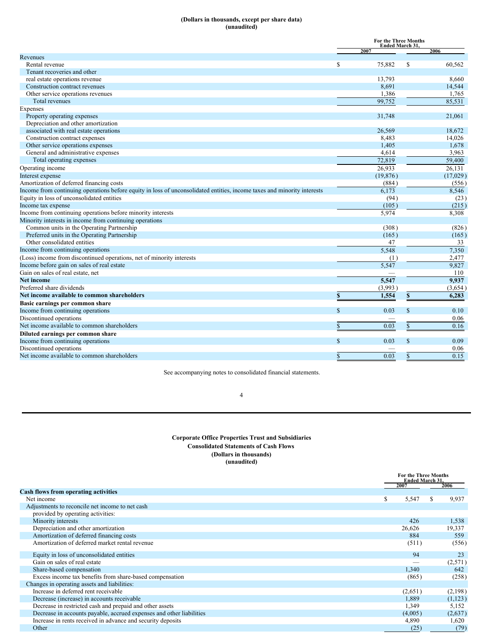#### **(Dollars in thousands, except per share data) (unaudited)**

| <b>Ended March 31</b><br>2007<br>2006<br>Revenues<br>\$<br>Rental revenue<br>75,882<br>\$<br>60,562<br>Tenant recoveries and other<br>real estate operations revenue<br>13,793<br>8,660<br>Construction contract revenues<br>8,691<br>14,544<br>Other service operations revenues<br>1,386<br>1,765<br>Total revenues<br>99,752<br>85,531<br>Expenses<br>Property operating expenses<br>31,748<br>21,061<br>Depreciation and other amortization<br>associated with real estate operations<br>26,569<br>18,672<br>Construction contract expenses<br>8,483<br>14,026<br>Other service operations expenses<br>1,405<br>1,678<br>General and administrative expenses<br>4,614<br>3,963<br>72,819<br>Total operating expenses<br>59,400<br>Operating income<br>26.933<br>26.131<br>Interest expense<br>(19, 876)<br>(17,029)<br>Amortization of deferred financing costs<br>(884)<br>(556)<br>Income from continuing operations before equity in loss of unconsolidated entities, income taxes and minority interests<br>6,173<br>8,546<br>Equity in loss of unconsolidated entities<br>(94)<br>(23) |
|-------------------------------------------------------------------------------------------------------------------------------------------------------------------------------------------------------------------------------------------------------------------------------------------------------------------------------------------------------------------------------------------------------------------------------------------------------------------------------------------------------------------------------------------------------------------------------------------------------------------------------------------------------------------------------------------------------------------------------------------------------------------------------------------------------------------------------------------------------------------------------------------------------------------------------------------------------------------------------------------------------------------------------------------------------------------------------------------------|
|                                                                                                                                                                                                                                                                                                                                                                                                                                                                                                                                                                                                                                                                                                                                                                                                                                                                                                                                                                                                                                                                                                 |
|                                                                                                                                                                                                                                                                                                                                                                                                                                                                                                                                                                                                                                                                                                                                                                                                                                                                                                                                                                                                                                                                                                 |
|                                                                                                                                                                                                                                                                                                                                                                                                                                                                                                                                                                                                                                                                                                                                                                                                                                                                                                                                                                                                                                                                                                 |
|                                                                                                                                                                                                                                                                                                                                                                                                                                                                                                                                                                                                                                                                                                                                                                                                                                                                                                                                                                                                                                                                                                 |
|                                                                                                                                                                                                                                                                                                                                                                                                                                                                                                                                                                                                                                                                                                                                                                                                                                                                                                                                                                                                                                                                                                 |
|                                                                                                                                                                                                                                                                                                                                                                                                                                                                                                                                                                                                                                                                                                                                                                                                                                                                                                                                                                                                                                                                                                 |
|                                                                                                                                                                                                                                                                                                                                                                                                                                                                                                                                                                                                                                                                                                                                                                                                                                                                                                                                                                                                                                                                                                 |
|                                                                                                                                                                                                                                                                                                                                                                                                                                                                                                                                                                                                                                                                                                                                                                                                                                                                                                                                                                                                                                                                                                 |
|                                                                                                                                                                                                                                                                                                                                                                                                                                                                                                                                                                                                                                                                                                                                                                                                                                                                                                                                                                                                                                                                                                 |
|                                                                                                                                                                                                                                                                                                                                                                                                                                                                                                                                                                                                                                                                                                                                                                                                                                                                                                                                                                                                                                                                                                 |
|                                                                                                                                                                                                                                                                                                                                                                                                                                                                                                                                                                                                                                                                                                                                                                                                                                                                                                                                                                                                                                                                                                 |
|                                                                                                                                                                                                                                                                                                                                                                                                                                                                                                                                                                                                                                                                                                                                                                                                                                                                                                                                                                                                                                                                                                 |
|                                                                                                                                                                                                                                                                                                                                                                                                                                                                                                                                                                                                                                                                                                                                                                                                                                                                                                                                                                                                                                                                                                 |
|                                                                                                                                                                                                                                                                                                                                                                                                                                                                                                                                                                                                                                                                                                                                                                                                                                                                                                                                                                                                                                                                                                 |
|                                                                                                                                                                                                                                                                                                                                                                                                                                                                                                                                                                                                                                                                                                                                                                                                                                                                                                                                                                                                                                                                                                 |
|                                                                                                                                                                                                                                                                                                                                                                                                                                                                                                                                                                                                                                                                                                                                                                                                                                                                                                                                                                                                                                                                                                 |
|                                                                                                                                                                                                                                                                                                                                                                                                                                                                                                                                                                                                                                                                                                                                                                                                                                                                                                                                                                                                                                                                                                 |
|                                                                                                                                                                                                                                                                                                                                                                                                                                                                                                                                                                                                                                                                                                                                                                                                                                                                                                                                                                                                                                                                                                 |
|                                                                                                                                                                                                                                                                                                                                                                                                                                                                                                                                                                                                                                                                                                                                                                                                                                                                                                                                                                                                                                                                                                 |
|                                                                                                                                                                                                                                                                                                                                                                                                                                                                                                                                                                                                                                                                                                                                                                                                                                                                                                                                                                                                                                                                                                 |
|                                                                                                                                                                                                                                                                                                                                                                                                                                                                                                                                                                                                                                                                                                                                                                                                                                                                                                                                                                                                                                                                                                 |
| Income tax expense<br>(215)<br>(105)                                                                                                                                                                                                                                                                                                                                                                                                                                                                                                                                                                                                                                                                                                                                                                                                                                                                                                                                                                                                                                                            |
| Income from continuing operations before minority interests<br>5,974<br>8,308                                                                                                                                                                                                                                                                                                                                                                                                                                                                                                                                                                                                                                                                                                                                                                                                                                                                                                                                                                                                                   |
| Minority interests in income from continuing operations                                                                                                                                                                                                                                                                                                                                                                                                                                                                                                                                                                                                                                                                                                                                                                                                                                                                                                                                                                                                                                         |
| Common units in the Operating Partnership<br>(308)<br>(826)                                                                                                                                                                                                                                                                                                                                                                                                                                                                                                                                                                                                                                                                                                                                                                                                                                                                                                                                                                                                                                     |
| Preferred units in the Operating Partnership<br>(165)<br>(165)                                                                                                                                                                                                                                                                                                                                                                                                                                                                                                                                                                                                                                                                                                                                                                                                                                                                                                                                                                                                                                  |
| Other consolidated entities<br>47<br>33                                                                                                                                                                                                                                                                                                                                                                                                                                                                                                                                                                                                                                                                                                                                                                                                                                                                                                                                                                                                                                                         |
| 5,548<br>7,350<br>Income from continuing operations                                                                                                                                                                                                                                                                                                                                                                                                                                                                                                                                                                                                                                                                                                                                                                                                                                                                                                                                                                                                                                             |
| (Loss) income from discontinued operations, net of minority interests<br>2,477<br>(1)                                                                                                                                                                                                                                                                                                                                                                                                                                                                                                                                                                                                                                                                                                                                                                                                                                                                                                                                                                                                           |
| Income before gain on sales of real estate<br>5,547<br>9,827                                                                                                                                                                                                                                                                                                                                                                                                                                                                                                                                                                                                                                                                                                                                                                                                                                                                                                                                                                                                                                    |
| Gain on sales of real estate, net<br>110                                                                                                                                                                                                                                                                                                                                                                                                                                                                                                                                                                                                                                                                                                                                                                                                                                                                                                                                                                                                                                                        |
| 5,547<br><b>Net income</b><br>9.937                                                                                                                                                                                                                                                                                                                                                                                                                                                                                                                                                                                                                                                                                                                                                                                                                                                                                                                                                                                                                                                             |
| Preferred share dividends<br>(3,993)<br>(3,654)                                                                                                                                                                                                                                                                                                                                                                                                                                                                                                                                                                                                                                                                                                                                                                                                                                                                                                                                                                                                                                                 |
| Net income available to common shareholders<br>1,554<br>$\mathbf S$<br>6,283<br>S                                                                                                                                                                                                                                                                                                                                                                                                                                                                                                                                                                                                                                                                                                                                                                                                                                                                                                                                                                                                               |
| Basic earnings per common share                                                                                                                                                                                                                                                                                                                                                                                                                                                                                                                                                                                                                                                                                                                                                                                                                                                                                                                                                                                                                                                                 |
| Income from continuing operations<br>\$<br>0.03<br>\$.<br>0.10                                                                                                                                                                                                                                                                                                                                                                                                                                                                                                                                                                                                                                                                                                                                                                                                                                                                                                                                                                                                                                  |
| Discontinued operations<br>0.06                                                                                                                                                                                                                                                                                                                                                                                                                                                                                                                                                                                                                                                                                                                                                                                                                                                                                                                                                                                                                                                                 |
| Net income available to common shareholders<br>$\mathbf{s}$<br>0.03<br>$\mathbb{S}$<br>0.16                                                                                                                                                                                                                                                                                                                                                                                                                                                                                                                                                                                                                                                                                                                                                                                                                                                                                                                                                                                                     |
| Diluted earnings per common share                                                                                                                                                                                                                                                                                                                                                                                                                                                                                                                                                                                                                                                                                                                                                                                                                                                                                                                                                                                                                                                               |
| Income from continuing operations<br>\$<br>0.03<br>\$.<br>0.09                                                                                                                                                                                                                                                                                                                                                                                                                                                                                                                                                                                                                                                                                                                                                                                                                                                                                                                                                                                                                                  |
| Discontinued operations<br>0.06                                                                                                                                                                                                                                                                                                                                                                                                                                                                                                                                                                                                                                                                                                                                                                                                                                                                                                                                                                                                                                                                 |
| Net income available to common shareholders<br>0.03<br>0.15<br>\$<br>$\mathbb{S}$                                                                                                                                                                                                                                                                                                                                                                                                                                                                                                                                                                                                                                                                                                                                                                                                                                                                                                                                                                                                               |

See accompanying notes to consolidated financial statements.

# <span id="page-2-0"></span>4

## **Corporate Office Properties Trust and Subsidiaries Consolidated Statements of Cash Flows (Dollars in thousands) (unaudited)**

|                                                                      |   | <b>For the Three Months</b><br>Ended March 31,<br>2007 | 2006 |         |  |
|----------------------------------------------------------------------|---|--------------------------------------------------------|------|---------|--|
| Cash flows from operating activities                                 |   |                                                        |      |         |  |
| Net income                                                           | S | 5,547                                                  | -S   | 9,937   |  |
| Adjustments to reconcile net income to net cash                      |   |                                                        |      |         |  |
| provided by operating activities:                                    |   |                                                        |      |         |  |
| Minority interests                                                   |   | 426                                                    |      | 1,538   |  |
| Depreciation and other amortization                                  |   | 26,626                                                 |      | 19,337  |  |
| Amortization of deferred financing costs                             |   | 884                                                    |      | 559     |  |
| Amortization of deferred market rental revenue                       |   | (511)                                                  |      | (556)   |  |
| Equity in loss of unconsolidated entities                            |   | 94                                                     |      | 23      |  |
| Gain on sales of real estate                                         |   |                                                        |      | (2,571) |  |
| Share-based compensation                                             |   | 1,340                                                  |      | 642     |  |
| Excess income tax benefits from share-based compensation             |   | (865)                                                  |      | (258)   |  |
| Changes in operating assets and liabilities:                         |   |                                                        |      |         |  |
| Increase in deferred rent receivable                                 |   | (2,651)                                                |      | (2,198) |  |
| Decrease (increase) in accounts receivable                           |   | 1,889                                                  |      | (1,123) |  |
| Decrease in restricted cash and prepaid and other assets             |   | 1,349                                                  |      | 5,152   |  |
| Decrease in accounts payable, accrued expenses and other liabilities |   | (4,005)                                                |      | (2,637) |  |
| Increase in rents received in advance and security deposits          |   | 4,890                                                  |      | 1,620   |  |
| Other                                                                |   | (25)                                                   |      | (79)    |  |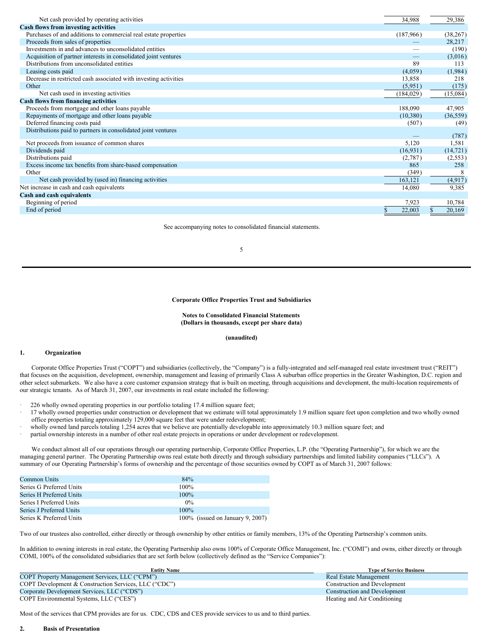| Net cash provided by operating activities                        | 34,988     | 29,386    |
|------------------------------------------------------------------|------------|-----------|
| <b>Cash flows from investing activities</b>                      |            |           |
| Purchases of and additions to commercial real estate properties  | (187,966)  | (38, 267) |
| Proceeds from sales of properties                                |            | 28,217    |
| Investments in and advances to unconsolidated entities           |            | (190)     |
| Acquisition of partner interests in consolidated joint ventures  |            | (3,016)   |
| Distributions from unconsolidated entities                       | 89         | 113       |
| Leasing costs paid                                               | (4,059)    | (1,984)   |
| Decrease in restricted cash associated with investing activities | 13,858     | 218       |
| Other                                                            | (5,951)    | (175)     |
| Net cash used in investing activities                            | (184, 029) | (15,084)  |
| <b>Cash flows from financing activities</b>                      |            |           |
| Proceeds from mortgage and other loans payable                   | 188,090    | 47,905    |
| Repayments of mortgage and other loans payable                   | (10,380)   | (36, 559) |
| Deferred financing costs paid                                    | (507)      | (49)      |
| Distributions paid to partners in consolidated joint ventures    |            | (787)     |
| Net proceeds from issuance of common shares                      | 5,120      | 1,581     |
| Dividends paid                                                   | (16, 931)  | (14, 721) |
| Distributions paid                                               | (2,787)    | (2,553)   |
| Excess income tax benefits from share-based compensation         | 865        | 258       |
| Other                                                            | (349)      | 8         |
| Net cash provided by (used in) financing activities              | 163,121    | (4,917)   |
| Net increase in cash and cash equivalents                        | 14,080     | 9,385     |
| Cash and cash equivalents                                        |            |           |
| Beginning of period                                              | 7,923      | 10,784    |
| End of period                                                    | 22,003     | 20,169    |
|                                                                  |            |           |

See accompanying notes to consolidated financial statements.

5

#### **Corporate Office Properties Trust and Subsidiaries**

#### **Notes to Consolidated Financial Statements (Dollars in thousands, except per share data)**

#### <span id="page-3-0"></span>**(unaudited)**

## **1. Organization**

Corporate Office Properties Trust ("COPT") and subsidiaries (collectively, the "Company") is a fully-integrated and self-managed real estate investment trust ("REIT") that focuses on the acquisition, development, ownership, management and leasing of primarily Class A suburban office properties in the Greater Washington, D.C. region and other select submarkets. We also have a core customer expansion strategy that is built on meeting, through acquisitions and development, the multi-location requirements of our strategic tenants. As of March 31, 2007, our investments in real estate included the following:

- 226 wholly owned operating properties in our portfolio totaling 17.4 million square feet;
- · 17 wholly owned properties under construction or development that we estimate will total approximately 1.9 million square feet upon completion and two wholly owned office properties totaling approximately 129,000 square feet that were under redevelopment;
- wholly owned land parcels totaling 1,254 acres that we believe are potentially developable into approximately 10.3 million square feet; and
- partial ownership interests in a number of other real estate projects in operations or under development or redevelopment.

We conduct almost all of our operations through our operating partnership, Corporate Office Properties, L.P. (the "Operating Partnership"), for which we are the managing general partner. The Operating Partnership owns real estate both directly and through subsidiary partnerships and limited liability companies ("LLCs"). A summary of our Operating Partnership's forms of ownership and the percentage of those securities owned by COPT as of March 31, 2007 follows:

| Common Units             | 84%                                 |
|--------------------------|-------------------------------------|
| Series G Preferred Units | $100\%$                             |
| Series H Preferred Units | $100\%$                             |
| Series I Preferred Units | $0\%$                               |
| Series J Preferred Units | $100\%$                             |
| Series K Preferred Units | $100\%$ (issued on January 9, 2007) |

Two of our trustees also controlled, either directly or through ownership by other entities or family members, 13% of the Operating Partnership's common units.

In addition to owning interests in real estate, the Operating Partnership also owns 100% of Corporate Office Management, Inc. ("COMI") and owns, either directly or through COMI, 100% of the consolidated subsidiaries that are set forth below (collectively defined as the "Service Companies"):

| <b>Entity Name</b><br><b>Type of Service Business</b> |                                     |
|-------------------------------------------------------|-------------------------------------|
| COPT Property Management Services, LLC ("CPM")        | Real Estate Management              |
| COPT Development & Construction Services, LLC ("CDC") | Construction and Development        |
| Corporate Development Services, LLC ("CDS")           | <b>Construction and Development</b> |
| COPT Environmental Systems, LLC ("CES")               | Heating and Air Conditioning        |

Most of the services that CPM provides are for us. CDC, CDS and CES provide services to us and to third parties.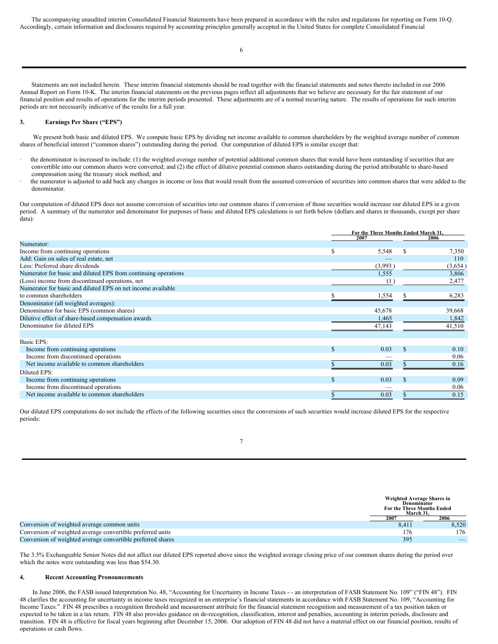6

Statements are not included herein. These interim financial statements should be read together with the financial statements and notes thereto included in our 2006 Annual Report on Form 10-K. The interim financial statements on the previous pages reflect all adjustments that we believe are necessary for the fair statement of our financial position and results of operations for the interim periods presented. These adjustments are of a normal recurring nature. The results of operations for such interim periods are not necessarily indicative of the results for a full year.

## **3. Earnings Per Share ("EPS")**

We present both basic and diluted EPS. We compute basic EPS by dividing net income available to common shareholders by the weighted average number of common shares of beneficial interest ("common shares") outstanding during the period. Our computation of diluted EPS is similar except that:

- the denominator is increased to include: (1) the weighted average number of potential additional common shares that would have been outstanding if securities that are convertible into our common shares were converted; and (2) the effect of dilutive potential common shares outstanding during the period attributable to share-based compensation using the treasury stock method; and
- the numerator is adjusted to add back any changes in income or loss that would result from the assumed conversion of securities into common shares that were added to the denominator.

Our computation of diluted EPS does not assume conversion of securities into our common shares if conversion of those securities would increase our diluted EPS in a given period. A summary of the numerator and denominator for purposes of basic and diluted EPS calculations is set forth below (dollars and shares in thousands, except per share data):

|                                                                | For the Three Months Ended March 31, |         |               |         |
|----------------------------------------------------------------|--------------------------------------|---------|---------------|---------|
|                                                                |                                      | 2007    |               | 2006    |
| Numerator:                                                     |                                      |         |               |         |
| Income from continuing operations                              | ъ                                    | 5,548   |               | 7,350   |
| Add: Gain on sales of real estate, net                         |                                      |         |               | 110     |
| Less: Preferred share dividends                                |                                      | (3,993) |               | (3,654) |
| Numerator for basic and diluted EPS from continuing operations |                                      | 1,555   |               | 3,806   |
| (Loss) income from discontinued operations, net                |                                      | (1)     |               | 2,477   |
| Numerator for basic and diluted EPS on net income available    |                                      |         |               |         |
| to common shareholders                                         |                                      | 1,554   |               | 6,283   |
| Denominator (all weighted averages):                           |                                      |         |               |         |
| Denominator for basic EPS (common shares)                      |                                      | 45,678  |               | 39,668  |
| Dilutive effect of share-based compensation awards             |                                      | 1,465   |               | 1,842   |
| Denominator for diluted EPS                                    |                                      | 47,143  |               | 41,510  |
|                                                                |                                      |         |               |         |
| Basic EPS:                                                     |                                      |         |               |         |
| Income from continuing operations                              | \$                                   | 0.03    | \$            | 0.10    |
| Income from discontinued operations                            |                                      |         |               | 0.06    |
| Net income available to common shareholders                    |                                      | 0.03    |               | 0.16    |
| Diluted EPS:                                                   |                                      |         |               |         |
| Income from continuing operations                              | \$                                   | 0.03    | $\mathcal{S}$ | 0.09    |
| Income from discontinued operations                            |                                      |         |               | 0.06    |
| Net income available to common shareholders                    |                                      | 0.03    |               | 0.15    |

Our diluted EPS computations do not include the effects of the following securities since the conversions of such securities would increase diluted EPS for the respective periods:

7

|                                                             | Weighted Average Shares in<br>Denominator<br><b>For the Three Months Ended</b><br>March 31. |       |
|-------------------------------------------------------------|---------------------------------------------------------------------------------------------|-------|
|                                                             | 2007                                                                                        | 2006  |
| Conversion of weighted average common units                 | 8.411                                                                                       | 8.520 |
| Conversion of weighted average convertible preferred units  | 176                                                                                         | 176   |
| Conversion of weighted average convertible preferred shares | 395                                                                                         |       |

The 3.5% Exchangeable Senior Notes did not affect our diluted EPS reported above since the weighted average closing price of our common shares during the period over which the notes were outstanding was less than \$54.30.

#### **4. Recent Accounting Pronouncements**

In June 2006, the FASB issued Interpretation No. 48, "Accounting for Uncertainty in Income Taxes - - an interpretation of FASB Statement No. 109" ("FIN 48"). FIN 48 clarifies the accounting for uncertainty in income taxes recognized in an enterprise's financial statements in accordance with FASB Statement No. 109, "Accounting for Income Taxes." FIN 48 prescribes a recognition threshold and measurement attribute for the financial statement recognition and measurement of a tax position taken or expected to be taken in a tax return. FIN 48 also provides guidance on de-recognition, classification, interest and penalties, accounting in interim periods, disclosure and transition. FIN 48 is effective for fiscal years beginning after December 15, 2006. Our adoption of FIN 48 did not have a material effect on our financial position, results of operations or cash flows.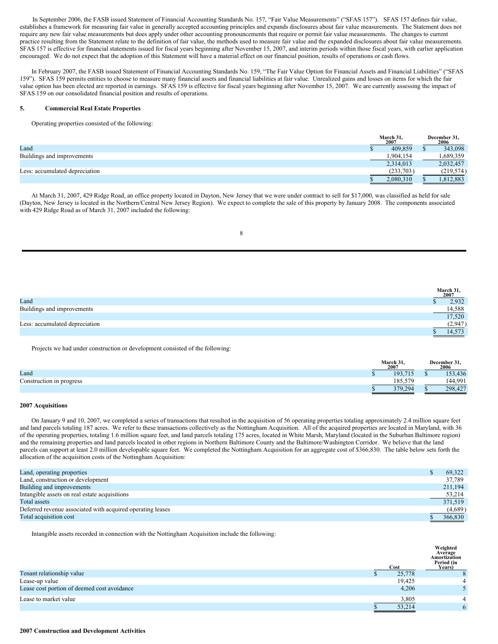In September 2006, the FASB issued Statement of Financial Accounting Standards No. 157, "Fair Value Measurements" ("SFAS 157"). SFAS 157 defines fair value, establishes a framework for measuring fair value in generally accepted accounting principles and expands disclosures about fair value measurements. The Statement does not require any new fair value measurements but does apply under other accounting pronouncements that require or permit fair value measurements. The changes to current practice resulting from the Statement relate to the definition of fair value, the methods used to measure fair value and the expanded disclosures about fair value measurements. SFAS 157 is effective for financial statements issued for fiscal years beginning after November 15, 2007, and interim periods within those fiscal years, with earlier application encouraged. We do not expect that the adoption of this Statement will have a material effect on our financial position, results of operations or cash flows.

In February 2007, the FASB issued Statement of Financial Accounting Standards No. 159, "The Fair Value Option for Financial Assets and Financial Liabilities" ("SFAS 159"). SFAS 159 permits entities to choose to measure many financial assets and financial liabilities at fair value. Unrealized gains and losses on items for which the fair value option has been elected are reported in earnings. SFAS 159 is effective for fiscal years beginning after November 15, 2007. We are currently assessing the impact of SFAS 159 on our consolidated financial position and results of operations.

#### **5. Commercial Real Estate Properties**

Operating properties consisted of the following:

|                                | March 31.<br>2007 | December 31,<br>2006 |            |  |
|--------------------------------|-------------------|----------------------|------------|--|
| Land                           | 409.859           |                      | 343,098    |  |
| Buildings and improvements     | 1.904.154         |                      | .689.359   |  |
|                                | 2,314,013         |                      | 2,032,457  |  |
| Less: accumulated depreciation | (233,703)         |                      | (219, 574) |  |
|                                | 2.080.310         |                      | .812,883   |  |

At March 31, 2007, 429 Ridge Road, an office property located in Dayton, New Jersey that we were under contract to sell for \$17,000, was classified as held for sale (Dayton, New Jersey is located in the Northern/Central New Jersey Region). We expect to complete the sale of this property by January 2008. The components associated with 429 Ridge Road as of March 31, 2007 included the following:

#### 8

|                                | March 31,<br>2007 |         |
|--------------------------------|-------------------|---------|
| Land                           |                   | 2.932   |
| Buildings and improvements     |                   | 14,588  |
|                                |                   | 17,520  |
| Less: accumulated depreciation |                   | (2,947) |
|                                |                   |         |

Projects we had under construction or development consisted of the following:

|                          | March 31,<br>2007 | December 31,<br>2006 |
|--------------------------|-------------------|----------------------|
| Land                     | 193 715           | 153,436              |
| Construction in progress | 185.579<br>185.57 | 144,991              |
|                          | 379,294           | 298,427              |

# **2007 Acquisitions**

On January 9 and 10, 2007, we completed a series of transactions that resulted in the acquisition of 56 operating properties totaling approximately 2.4 million square feet and land parcels totaling 187 acres. We refer to these transactions collectively as the Nottingham Acquisition. All of the acquired properties are located in Maryland, with 36 of the operating properties, totaling 1.6 million square feet, and land parcels totaling 175 acres, located in White Marsh, Maryland (located in the Suburban Baltimore region) and the remaining properties and land parcels located in other regions in Northern Baltimore County and the Baltimore/Washington Corridor. We believe that the land parcels can support at least 2.0 million developable square feet. We completed the Nottingham Acquisition for an aggregate cost of \$366,830. The table below sets forth the allocation of the acquisition costs of the Nottingham Acquisition:

| Land, operating properties                                 | 69.322  |
|------------------------------------------------------------|---------|
| Land, construction or development                          | 37.789  |
| Building and improvements                                  | 211,194 |
| Intangible assets on real estate acquisitions              | 53,214  |
| Total assets                                               | 371,519 |
| Deferred revenue associated with acquired operating leases | (4,689) |
| Total acquisition cost                                     | 366,830 |

Intangible assets recorded in connection with the Nottingham Acquisition include the following:

|                                             | Cost   | Weighted<br>Average<br>Amortization<br>Period (in<br>Years) |
|---------------------------------------------|--------|-------------------------------------------------------------|
| Tenant relationship value                   | 25,778 |                                                             |
| Lease-up value                              | 19,425 |                                                             |
| Lease cost portion of deemed cost avoidance | 4,206  |                                                             |
| Lease to market value                       | 3,805  |                                                             |
|                                             | 53,214 | 6                                                           |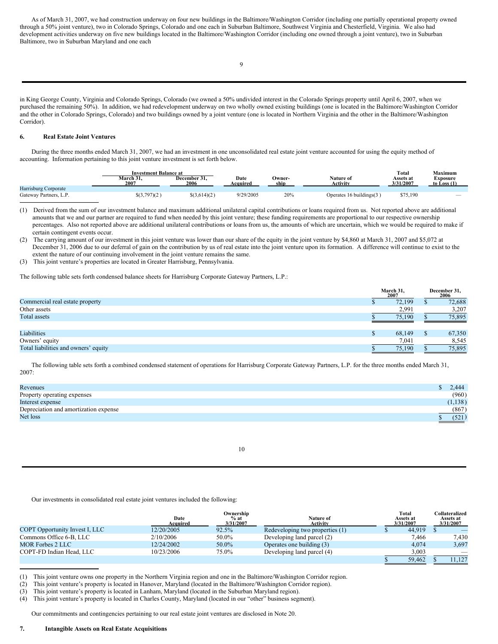As of March 31, 2007, we had construction underway on four new buildings in the Baltimore/Washington Corridor (including one partially operational property owned through a 50% joint venture), two in Colorado Springs, Colorado and one each in Suburban Baltimore, Southwest Virginia and Chesterfield, Virginia. We also had development activities underway on five new buildings located in the Baltimore/Washington Corridor (including one owned through a joint venture), two in Suburban Baltimore, two in Suburban Maryland and one each

in King George County, Virginia and Colorado Springs, Colorado (we owned a 50% undivided interest in the Colorado Springs property until April 6, 2007, when we purchased the remaining 50%). In addition, we had redevelopment underway on two wholly owned existing buildings (one is located in the Baltimore/Washington Corridor and the other in Colorado Springs, Colorado) and two buildings owned by a joint venture (one is located in Northern Virginia and the other in the Baltimore/Washington Corridor).

#### **6. Real Estate Joint Ventures**

During the three months ended March 31, 2007, we had an investment in one unconsolidated real estate joint venture accounted for using the equity method of accounting. Information pertaining to this joint venture investment is set forth below.

|                        | <b>Investment Balance at</b> |                      |                  |                |                          | Total                  | Maximum                   |
|------------------------|------------------------------|----------------------|------------------|----------------|--------------------------|------------------------|---------------------------|
|                        | March 31.<br>2007            | December 31.<br>2006 | Date<br>Acauired | Owner-<br>ship | Nature of<br>Activity    | Assets at<br>3/31/2007 | Exposure<br>to Loss $(1)$ |
| Harrisburg Corporate   |                              |                      |                  |                |                          |                        |                           |
| Gateway Partners, L.P. | $\frac{2}{3}(3,797)(2)$      | \$(3,614)(2)         | 9/29/2005        | 20%            | Operates 16 buildings(3) | \$75,190               | $\overline{\phantom{a}}$  |

(1) Derived from the sum of our investment balance and maximum additional unilateral capital contributions or loans required from us. Not reported above are additional amounts that we and our partner are required to fund when needed by this joint venture; these funding requirements are proportional to our respective ownership percentages. Also not reported above are additional unilateral contributions or loans from us, the amounts of which are uncertain, which we would be required to make if certain contingent events occur.

(2) The carrying amount of our investment in this joint venture was lower than our share of the equity in the joint venture by \$4,860 at March 31, 2007 and \$5,072 at December 31, 2006 due to our deferral of gain on the contribution by us of real estate into the joint venture upon its formation. A difference will continue to exist to the extent the nature of our continuing involvement in the joint venture remains the same.

(3) This joint venture's properties are located in Greater Harrisburg, Pennsylvania.

The following table sets forth condensed balance sheets for Harrisburg Corporate Gateway Partners, L.P.:

|                                      | March 31,<br>2007 | December 31.<br>2006 |
|--------------------------------------|-------------------|----------------------|
| Commercial real estate property      | 72,199            | 72,688               |
| Other assets                         | 2,991             | 3,207                |
| Total assets                         | 75,190            | 75,895               |
|                                      |                   |                      |
| Liabilities                          | 68,149            | 67,350               |
| Owners' equity                       | 7.041             | 8,545                |
| Total liabilities and owners' equity | 75,190            | 75,895               |
|                                      |                   |                      |

The following table sets forth a combined condensed statement of operations for Harrisburg Corporate Gateway Partners, L.P. for the three months ended March 31, 2007:

| Revenues                              | 2.444             |
|---------------------------------------|-------------------|
| Property operating expenses           | (960)             |
| Interest expense                      | (1, 138)          |
| Depreciation and amortization expense | (867)             |
| Net loss                              | $\frac{(521)}{2}$ |

Our investments in consolidated real estate joint ventures included the following:

|                                | Date<br>Acauired | Ownership<br>$%$ at<br>3/31/2007 | Nature of<br>Activity           | Total<br>Assets at<br>3/31/2007 | Collateralized<br>Assets at<br>3/31/2007 |
|--------------------------------|------------------|----------------------------------|---------------------------------|---------------------------------|------------------------------------------|
| COPT Opportunity Invest I, LLC | 12/20/2005       | 92.5%                            | Redeveloping two properties (1) | 44,919                          |                                          |
| Commons Office 6-B, LLC        | 2/10/2006        | 50.0%                            | Developing land parcel (2)      | 7.466                           | 7.430                                    |
| <b>MOR Forbes 2 LLC</b>        | 12/24/2002       | 50.0%                            | Operates one building (3)       | 4.074                           | 3,697                                    |
| COPT-FD Indian Head, LLC       | 10/23/2006       | 75.0%                            | Developing land parcel (4)      | 3.003                           |                                          |
|                                |                  |                                  |                                 | 59,462                          | 11.127                                   |

(1) This joint venture owns one property in the Northern Virginia region and one in the Baltimore/Washington Corridor region.

(2) This joint venture's property is located in Hanover, Maryland (located in the Baltimore/Washington Corridor region).

(3) This joint venture's property is located in Lanham, Maryland (located in the Suburban Maryland region).

(4) This joint venture's property is located in Charles County, Maryland (located in our "other" business segment).

Our commitments and contingencies pertaining to our real estate joint ventures are disclosed in Note 20.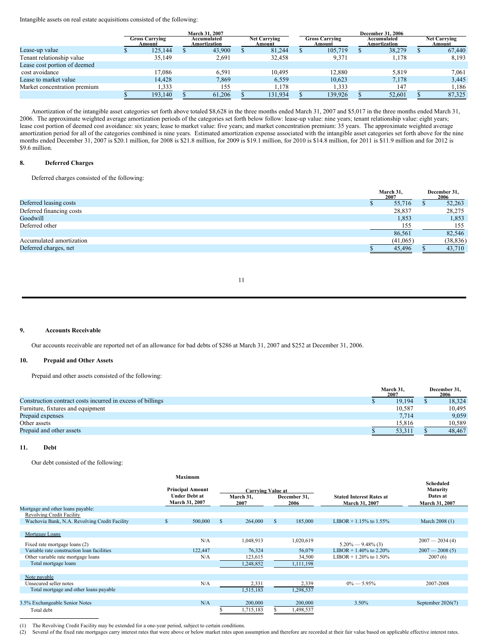Intangible assets on real estate acquisitions consisted of the following:

|                              |                                 | <b>March 31, 2007</b> |                             |  |                               |  |                                 | <b>December 31, 2006</b> |                             |  |                               |  |  |  |
|------------------------------|---------------------------------|-----------------------|-----------------------------|--|-------------------------------|--|---------------------------------|--------------------------|-----------------------------|--|-------------------------------|--|--|--|
|                              | <b>Gross Carrving</b><br>Amount |                       | Accumulated<br>Amortization |  | <b>Net Carrying</b><br>Amount |  | <b>Gross Carrying</b><br>Amount |                          | Accumulated<br>Amortization |  | <b>Net Carrying</b><br>Amount |  |  |  |
| Lease-up value               | 125,144                         |                       | 43,900                      |  | 81.244                        |  | 105,719                         |                          | 38,279                      |  | 67,440                        |  |  |  |
| Tenant relationship value    | 35.149                          |                       | 2,691                       |  | 32.458                        |  | 9,371                           |                          | 1.178                       |  | 8,193                         |  |  |  |
| Lease cost portion of deemed |                                 |                       |                             |  |                               |  |                                 |                          |                             |  |                               |  |  |  |
| cost avoidance               | 17.086                          |                       | 6.591                       |  | 10.495                        |  | 12.880                          |                          | 5.819                       |  | 7,061                         |  |  |  |
| Lease to market value        | 14.428                          |                       | 7,869                       |  | 6.559                         |  | 10.623                          |                          | 7,178                       |  | 3,445                         |  |  |  |
| Market concentration premium |                                 | 1,333                 | 155                         |  | 1,178                         |  | 1,333                           |                          | 147                         |  | 1,186                         |  |  |  |
|                              | 193,140                         |                       | 61,206                      |  | 131.934                       |  | 139.926                         |                          | 52,601                      |  | 87,325                        |  |  |  |

Amortization of the intangible asset categories set forth above totaled \$8,628 in the three months ended March 31, 2007 and \$5,017 in the three months ended March 31, 2006. The approximate weighted average amortization periods of the categories set forth below follow: lease-up value: nine years; tenant relationship value: eight years; lease cost portion of deemed cost avoidance: six years; lease to market value: five years; and market concentration premium: 35 years. The approximate weighted average amortization period for all of the categories combined is nine years. Estimated amortization expense associated with the intangible asset categories set forth above for the nine months ended December 31, 2007 is \$20.1 million, for 2008 is \$21.8 million, for 2009 is \$19.1 million, for 2010 is \$14.8 million, for 2011 is \$11.9 million and for 2012 is \$9.6 million.

## **8. Deferred Charges**

Deferred charges consisted of the following:

|                          | March 31.<br>2007 | December 31.<br>2006 |
|--------------------------|-------------------|----------------------|
| Deferred leasing costs   | 55,716            | 52,263               |
| Deferred financing costs | 28,837            | 28,275               |
| Goodwill                 | 1,853             | 1,853                |
| Deferred other           | 155               | 155                  |
|                          | 86,561            | 82,546               |
| Accumulated amortization | (41,065)          | (38, 836)            |
| Deferred charges, net    | 45,496            | 43,710               |

#### **9. Accounts Receivable**

Our accounts receivable are reported net of an allowance for bad debts of \$286 at March 31, 2007 and \$252 at December 31, 2006.

### **10. Prepaid and Other Assets**

Prepaid and other assets consisted of the following:

|                                                            | March 31.<br>2007 | December 31.<br>2006 |
|------------------------------------------------------------|-------------------|----------------------|
| Construction contract costs incurred in excess of billings | 19.194            | 18,324               |
| Furniture, fixtures and equipment                          | 10.587            | 10.495               |
| Prepaid expenses                                           | 7.714             | 9,059                |
| Other assets                                               | 15.816            | 10.589               |
| Prepaid and other assets                                   | 53.311            | 48,467               |

# **11. Debt**

Our debt consisted of the following:

|                                               | Maximum                                                                  |    |                                                                       |               |                                                   |                           |                                                            |
|-----------------------------------------------|--------------------------------------------------------------------------|----|-----------------------------------------------------------------------|---------------|---------------------------------------------------|---------------------------|------------------------------------------------------------|
|                                               | <b>Principal Amount</b><br><b>Under Debt at</b><br><b>March 31, 2007</b> |    | <b>Carrying Value at</b><br>March 31,<br>December 31,<br>2007<br>2006 |               | <b>Stated Interest Rates at</b><br>March 31, 2007 |                           | <b>Scheduled</b><br>Maturity<br>Dates at<br>March 31, 2007 |
| Mortgage and other loans payable:             |                                                                          |    |                                                                       |               |                                                   |                           |                                                            |
| <b>Revolving Credit Facility</b>              |                                                                          |    |                                                                       |               |                                                   |                           |                                                            |
| Wachovia Bank, N.A. Revolving Credit Facility | \$<br>500,000                                                            | -S | 264,000                                                               | <sup>\$</sup> | 185,000                                           | LIBOR + 1.15% to 1.55%    | March 2008 (1)                                             |
|                                               |                                                                          |    |                                                                       |               |                                                   |                           |                                                            |
| Mortgage Loans                                |                                                                          |    |                                                                       |               |                                                   |                           |                                                            |
| Fixed rate mortgage loans (2)                 | N/A                                                                      |    | 1,048,913                                                             |               | 1,020,619                                         | $5.20\% - 9.48\%$ (3)     | $2007 - 2034(4)$                                           |
| Variable rate construction loan facilities    | 122,447                                                                  |    | 76,324                                                                |               | 56,079                                            | LIBOR $+ 1.40\%$ to 2.20% | $2007 - 2008(5)$                                           |
| Other variable rate mortgage loans            | N/A                                                                      |    | 123,615                                                               |               | 34,500                                            | LIBOR + 1.20% to 1.50%    | 2007(6)                                                    |
| Total mortgage loans                          |                                                                          |    | 1,248,852                                                             |               | 1,111,198                                         |                           |                                                            |
|                                               |                                                                          |    |                                                                       |               |                                                   |                           |                                                            |
| Note payable                                  |                                                                          |    |                                                                       |               |                                                   |                           |                                                            |
| Unsecured seller notes                        | N/A                                                                      |    | 2,331                                                                 |               | 2,339                                             | $0\% - 5.95\%$            | 2007-2008                                                  |
| Total mortgage and other loans payable        |                                                                          |    | 1,515,183                                                             |               | 1,298,537                                         |                           |                                                            |
|                                               |                                                                          |    |                                                                       |               |                                                   |                           |                                                            |
| 3.5% Exchangeable Senior Notes                | N/A                                                                      |    | 200,000                                                               |               | 200,000                                           | 3.50%                     | September 2026(7)                                          |
| Total debt                                    |                                                                          |    | 1,715,183                                                             |               | ,498,537                                          |                           |                                                            |

(1) The Revolving Credit Facility may be extended for a one-year period, subject to certain conditions.

(2) Several of the fixed rate mortgages carry interest rates that were above or below market rates upon assumption and therefore are recorded at their fair value based on applicable effective interest rates.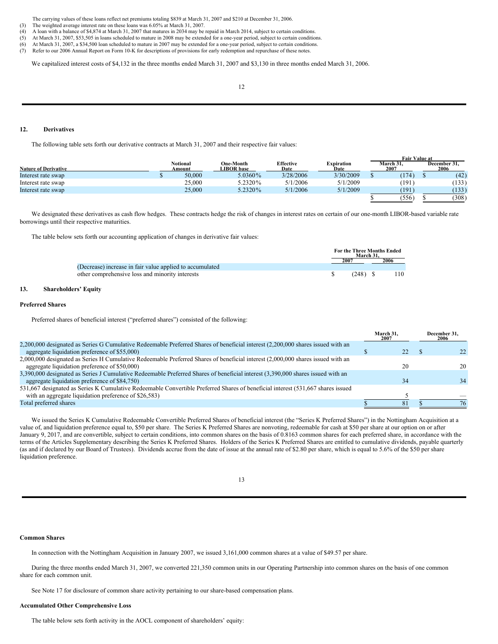The carrying values of these loans reflect net premiums totaling \$839 at March 31, 2007 and \$210 at December 31, 2006.

- (3) The weighted average interest rate on these loans was 6.05% at March 31, 2007.
- (4) A loan with a balance of \$4,874 at March 31, 2007 that matures in 2034 may be repaid in March 2014, subject to certain conditions.
- (5) At March 31, 2007, \$53,505 in loans scheduled to mature in 2008 may be extended for a one-year period, subject to certain conditions.
- (6) At March 31, 2007, a \$34,500 loan scheduled to mature in 2007 may be extended for a one-year period, subject to certain conditions. (7) Refer to our 2006 Annual Report on Form 10-K for descriptions of provisions for early redemption and repurchase of these notes.
- 

We capitalized interest costs of \$4,132 in the three months ended March 31, 2007 and \$3,130 in three months ended March 31, 2006.

#### **12. Derivatives**

The following table sets forth our derivative contracts at March 31, 2007 and their respective fair values:

|                             |                    |                                       |                          |                    | <b>Fair Value at</b> |                      |
|-----------------------------|--------------------|---------------------------------------|--------------------------|--------------------|----------------------|----------------------|
| <b>Nature of Derivative</b> | Notional<br>Amount | <b>One-Month</b><br><b>LIBOR base</b> | <b>Effective</b><br>Date | Expiration<br>Date | March 31.<br>2007    | December 31.<br>2006 |
| Interest rate swap          | 50,000             | 5.0360%                               | 3/28/2006                | 3/30/2009          | (174)                | (42)                 |
| Interest rate swap          | 25,000             | 5.2320%                               | 5/1/2006                 | 5/1/2009           | (191)                | (133)                |
| Interest rate swap          | 25,000             | 5.2320%                               | 5/1/2006                 | 5/1/2009           | (191)                | (133)                |
|                             |                    |                                       |                          |                    | (556)                | (308)                |

We designated these derivatives as cash flow hedges. These contracts hedge the risk of changes in interest rates on certain of our one-month LIBOR-based variable rate borrowings until their respective maturities.

The table below sets forth our accounting application of changes in derivative fair values:

|                                                          | For the Three Months Ended<br>March 31. |      |
|----------------------------------------------------------|-----------------------------------------|------|
|                                                          | 2007                                    | 2006 |
| (Decrease) increase in fair value applied to accumulated |                                         |      |
| other comprehensive loss and minority interests          | $(248)$ S                               | 110  |

**For the Three Months Ended March 31,**

## **13. Shareholders' Equity**

#### **Preferred Shares**

Preferred shares of beneficial interest ("preferred shares") consisted of the following:

|                                                                                                                                 | March 31.<br>2007 |  | December 31,<br>2006 |
|---------------------------------------------------------------------------------------------------------------------------------|-------------------|--|----------------------|
| 2,200,000 designated as Series G Cumulative Redeemable Preferred Shares of beneficial interest (2,200,000 shares issued with an |                   |  |                      |
| aggregate liquidation preference of \$55,000)                                                                                   |                   |  |                      |
| 2,000,000 designated as Series H Cumulative Redeemable Preferred Shares of beneficial interest (2,000,000 shares issued with an |                   |  |                      |
| aggregate liquidation preference of \$50,000)                                                                                   | 20                |  | 20                   |
| 3,390,000 designated as Series J Cumulative Redeemable Preferred Shares of beneficial interest (3,390,000 shares issued with an |                   |  |                      |
| aggregate liquidation preference of \$84,750)                                                                                   | 34                |  | 34                   |
| 531,667 designated as Series K Cumulative Redeemable Convertible Preferred Shares of beneficial interest (531,667 shares issued |                   |  |                      |
| with an aggregate liquidation preference of \$26,583)                                                                           |                   |  |                      |
| Total preferred shares                                                                                                          | 81                |  | 76                   |

We issued the Series K Cumulative Redeemable Convertible Preferred Shares of beneficial interest (the "Series K Preferred Shares") in the Nottingham Acquisition at a value of, and liquidation preference equal to, \$50 per share. The Series K Preferred Shares are nonvoting, redeemable for cash at \$50 per share at our option on or after January 9, 2017, and are convertible, subject to certain conditions, into common shares on the basis of 0.8163 common shares for each preferred share, in accordance with the terms of the Articles Supplementary describing the Series K Preferred Shares. Holders of the Series K Preferred Shares are entitled to cumulative dividends, payable quarterly (as and if declared by our Board of Trustees). Dividends accrue from the date of issue at the annual rate of \$2.80 per share, which is equal to 5.6% of the \$50 per share liquidation preference.

13

#### **Common Shares**

In connection with the Nottingham Acquisition in January 2007, we issued 3,161,000 common shares at a value of \$49.57 per share.

During the three months ended March 31, 2007, we converted 221,350 common units in our Operating Partnership into common shares on the basis of one common share for each common unit.

See Note 17 for disclosure of common share activity pertaining to our share-based compensation plans.

#### **Accumulated Other Comprehensive Loss**

The table below sets forth activity in the AOCL component of shareholders' equity: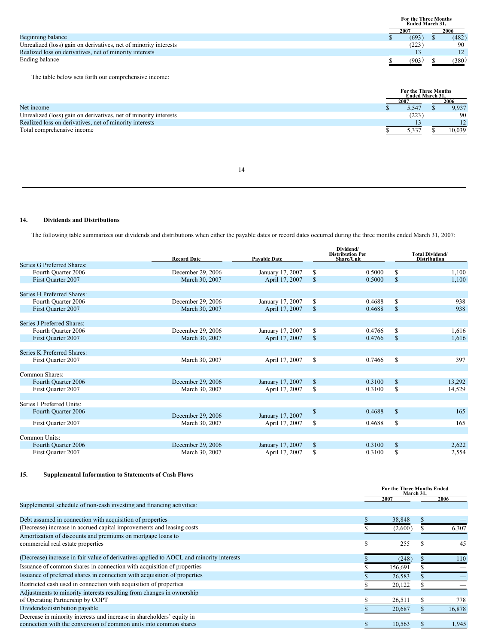|                                                                  | <b>For the Three Months</b> | Ended March 31, |       |
|------------------------------------------------------------------|-----------------------------|-----------------|-------|
|                                                                  | 2007                        |                 | 2006  |
| Beginning balance                                                | (693)                       |                 | (482) |
| Unrealized (loss) gain on derivatives, net of minority interests | (223)                       |                 | 90    |
| Realized loss on derivatives, net of minority interests          |                             |                 | 12    |
| Ending balance                                                   | (903)                       |                 | (380) |

The table below sets forth our comprehensive income:

|                                                                  | <b>For the Three Months</b><br><b>Ended March 31.</b> |        |
|------------------------------------------------------------------|-------------------------------------------------------|--------|
|                                                                  | 2007                                                  | 2006   |
| Net income                                                       | 5.547                                                 | 9,937  |
| Unrealized (loss) gain on derivatives, net of minority interests | (223)                                                 | 90     |
| Realized loss on derivatives, net of minority interests          |                                                       |        |
| Total comprehensive income                                       | 5.337                                                 | 10.039 |

# **14. Dividends and Distributions**

The following table summarizes our dividends and distributions when either the payable dates or record dates occurred during the three months ended March 31, 2007:

|                            | <b>Record Date</b> | <b>Payable Date</b> |              |            |                    | <b>Total Dividend/</b><br><b>Distribution</b> |  |  |  |
|----------------------------|--------------------|---------------------|--------------|------------|--------------------|-----------------------------------------------|--|--|--|
| Series G Preferred Shares: |                    |                     |              | Share/Unit |                    |                                               |  |  |  |
| Fourth Quarter 2006        | December 29, 2006  | January 17, 2007    | \$           | 0.5000     | S                  | 1,100                                         |  |  |  |
| First Ouarter 2007         | March 30, 2007     | April 17, 2007      | $\mathbb{S}$ | 0.5000     | <sup>\$</sup>      | 1.100                                         |  |  |  |
| Series H Preferred Shares: |                    |                     |              |            |                    |                                               |  |  |  |
| Fourth Ouarter 2006        | December 29, 2006  | January 17, 2007    | S            | 0.4688     | S                  | 938                                           |  |  |  |
| First Quarter 2007         | March 30, 2007     | April 17, 2007      | $\mathbf S$  | 0.4688     | <sup>\$</sup>      | 938                                           |  |  |  |
|                            |                    |                     |              |            |                    |                                               |  |  |  |
| Series J Preferred Shares: |                    |                     |              |            |                    |                                               |  |  |  |
| Fourth Quarter 2006        | December 29, 2006  | January 17, 2007    | \$           | 0.4766     | S                  | 1,616                                         |  |  |  |
| First Quarter 2007         | March 30, 2007     | April 17, 2007      | $\mathbb{S}$ | 0.4766     | $\mathbf{\hat{s}}$ | 1,616                                         |  |  |  |
| Series K Preferred Shares: |                    |                     |              |            |                    |                                               |  |  |  |
|                            |                    |                     | \$           | 0.7466     | S                  | 397                                           |  |  |  |
| First Quarter 2007         | March 30, 2007     | April 17, 2007      |              |            |                    |                                               |  |  |  |
| Common Shares:             |                    |                     |              |            |                    |                                               |  |  |  |
| Fourth Quarter 2006        | December 29, 2006  | January 17, 2007    | \$           | 0.3100     | S                  | 13,292                                        |  |  |  |
| First Ouarter 2007         | March 30, 2007     | April 17, 2007      | S            | 0.3100     | S                  | 14,529                                        |  |  |  |
|                            |                    |                     |              |            |                    |                                               |  |  |  |
| Series I Preferred Units:  |                    |                     |              |            |                    |                                               |  |  |  |
| Fourth Quarter 2006        | December 29, 2006  | January 17, 2007    | \$           | 0.4688     | <sup>\$</sup>      | 165                                           |  |  |  |
| First Ouarter 2007         | March 30, 2007     | April 17, 2007      | \$           | 0.4688     | S                  | 165                                           |  |  |  |
|                            |                    |                     |              |            |                    |                                               |  |  |  |
| Common Units:              |                    |                     |              |            |                    |                                               |  |  |  |
| Fourth Quarter 2006        | December 29, 2006  | January 17, 2007    | \$           | 0.3100     | $\mathbb{S}$       | 2,622                                         |  |  |  |
| First Ouarter 2007         | March 30, 2007     | April 17, 2007      | S            | 0.3100     | S                  | 2,554                                         |  |  |  |

# **15. Supplemental Information to Statements of Cash Flows**

|                                                                                         | <b>For the Three Months Ended</b><br>March 31, |        |
|-----------------------------------------------------------------------------------------|------------------------------------------------|--------|
|                                                                                         | 2007                                           | 2006   |
| Supplemental schedule of non-cash investing and financing activities:                   |                                                |        |
|                                                                                         |                                                |        |
| Debt assumed in connection with acquisition of properties                               | 38,848                                         |        |
| (Decrease) increase in accrued capital improvements and leasing costs                   | (2,600)                                        | 6.307  |
| Amortization of discounts and premiums on mortgage loans to                             |                                                |        |
| commercial real estate properties                                                       | 255                                            | 45     |
| (Decrease) increase in fair value of derivatives applied to AOCL and minority interests | (248)                                          | 110    |
| Issuance of common shares in connection with acquisition of properties                  | 156,691                                        |        |
| Issuance of preferred shares in connection with acquisition of properties               | 26,583                                         |        |
| Restricted cash used in connection with acquisition of properties                       | 20,122                                         |        |
| Adjustments to minority interests resulting from changes in ownership                   |                                                |        |
| of Operating Partnership by COPT                                                        | 26,511                                         | 778    |
| Dividends/distribution payable                                                          | 20,687                                         | 16,878 |
| Decrease in minority interests and increase in shareholders' equity in                  |                                                |        |
| connection with the conversion of common units into common shares                       | 10.563                                         | 1.945  |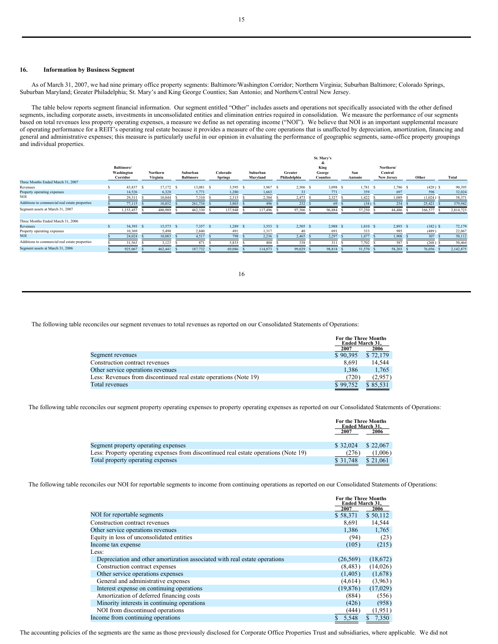#### **16. Information by Business Segment**

As of March 31, 2007, we had nine primary office property segments: Baltimore/Washington Corridor; Northern Virginia; Suburban Baltimore; Colorado Springs, Suburban Maryland; Greater Philadelphia; St. Mary's and King George Counties; San Antonio; and Northern/Central New Jersey.

The table below reports segment financial information. Our segment entitled "Other" includes assets and operations not specifically associated with the other defined segments, including corporate assets, investments in unconsolidated entities and elimination entries required in consolidation. We measure the performance of our segments based on total revenues less property operating expenses, a measure we define as net operating income ("NOI"). We believe that NOI is an important supplemental measure of operating performance for a REIT's operating real estate because it provides a measure of the core operations that is unaffected by depreciation, amortization, financing and general and administrative expenses; this measure is particularly useful in our opinion in evaluating the performance of geographic segments, same-office property groupings and individual properties.

|                                                |                                      |                      |     |                              |                            |                      |                         | St. Mary's<br>×                   |                |                                           |            |           |
|------------------------------------------------|--------------------------------------|----------------------|-----|------------------------------|----------------------------|----------------------|-------------------------|-----------------------------------|----------------|-------------------------------------------|------------|-----------|
|                                                | Baltimore/<br>Washington<br>Corridor | Northern<br>Virginia |     | Suburban<br><b>Baltimore</b> | Colorado<br><b>Springs</b> | Suburban<br>Maryland | Greater<br>Philadelphia | King<br>George<br><b>Counties</b> | San<br>Antonio | Northern/<br>Central<br><b>New Jersey</b> | Other      | Total     |
| Three Months Ended March 31, 2007              |                                      |                      |     |                              |                            |                      |                         |                                   |                |                                           |            |           |
| Revenues                                       | 43,837 S                             | 17,172               | - S | 13,081 \$                    | $3,595$ S                  | 3,967                | 2,506 \$                | 3,098 S                           | $1,781$ \$     | 1,786 S                                   | $(428)$ \$ | 90,395    |
| Property operating expenses                    | 14,526                               | 6,328                |     | 5,771                        | 1,280                      | 1,663                | 33                      | 771                               | 359            | 697                                       | 596        | 32,024    |
| NOI                                            | 29,311                               | 10,844               |     | 7,310                        | 2,315                      | 2,304                | 2,473                   | 2,327                             | 1,422          | 1,089                                     | (1,024)    | 58,371    |
| Additions to commercial real estate properties | 77,115                               | 10,852               |     | 261,734                      | 3,803                      | 496                  | 232                     | 69                                | (34)           | 254                                       | 25,421     | 379,942   |
| Segment assets at March 31, 2007               | ,153,457                             | 480,989              |     | 462,330                      | 137,948                    | 117,496              | 97,306                  | 96,884                            | 57,250         | 44,486                                    | 166,577    | 2,814,723 |
| Three Months Ended March 31, 2006              |                                      |                      |     |                              |                            |                      |                         |                                   |                |                                           |            |           |
| Revenues                                       | 34.393 S                             | 15.573 S             |     | 7.357 S                      | 1.289 S                    | 3.553                | 2.505 S                 | 2.988 S                           | 1.810 S        | 2.893 S                                   | $(182)$ \$ | 72,179    |
| Property operating expenses                    | 10.369                               | 5.490                |     | 2,840                        | 491                        | 1.317                | 40                      | 691                               | 333            | 985                                       | (489)      | 22,067    |
| <b>NOI</b>                                     | 24,024                               | 10,083               |     | 4,517                        | 798                        | 2,236                | 2,465                   | 2,297                             | 1.477          | 1.908                                     | 307        | 50,112    |
| Additions to commercial real estate properties | 31,563                               | 3,123                |     | 871                          | 5,833                      | 404                  | 338                     | 31                                | 7,702          | 587                                       | (268)      | 50,464    |
| Segment assets at March 31, 2006               | 925,067                              | 462.441              |     | 187,732                      | 69,086                     | 114,873              | 99,029                  | 98,818                            | 51,570         | 58.203                                    | 76,056     | 2,142,875 |

The following table reconciles our segment revenues to total revenues as reported on our Consolidated Statements of Operations:

|                                                                   | <b>For the Three Months</b><br><b>Ended March 31.</b> |          |
|-------------------------------------------------------------------|-------------------------------------------------------|----------|
|                                                                   | 2007                                                  | 2006     |
| Segment revenues                                                  | \$90.395                                              | \$72,179 |
| Construction contract revenues                                    | 8.691                                                 | 14.544   |
| Other service operations revenues                                 | 1.386                                                 | 1.765    |
| Less: Revenues from discontinued real estate operations (Note 19) | 720                                                   | (2,957   |
| Total revenues                                                    | \$99.752                                              | \$85,531 |

The following table reconciles our segment property operating expenses to property operating expenses as reported on our Consolidated Statements of Operations:

|                                                                                      | <b>For the Three Months</b><br><b>Ended March 31.</b><br>2007 | 2006     |
|--------------------------------------------------------------------------------------|---------------------------------------------------------------|----------|
| Segment property operating expenses                                                  | \$32.024                                                      | \$22,067 |
| Less: Property operating expenses from discontinued real estate operations (Note 19) | (276)                                                         | (1.006)  |
| Total property operating expenses                                                    | \$ 31,748                                                     | \$21,061 |

The following table reconciles our NOI for reportable segments to income from continuing operations as reported on our Consolidated Statements of Operations:

|                                                                            | <b>For the Three Months</b><br><b>Ended March 31.</b> |             |
|----------------------------------------------------------------------------|-------------------------------------------------------|-------------|
|                                                                            | 2007                                                  | 2006        |
| NOI for reportable segments                                                | \$58,371                                              | \$50,112    |
| Construction contract revenues                                             | 8,691                                                 | 14,544      |
| Other service operations revenues                                          | 1,386                                                 | 1,765       |
| Equity in loss of unconsolidated entities                                  | (94)                                                  | (23)        |
| Income tax expense                                                         | (105)                                                 | (215)       |
| Less:                                                                      |                                                       |             |
| Depreciation and other amortization associated with real estate operations | (26, 569)                                             | (18,672)    |
| Construction contract expenses                                             | (8, 483)                                              | (14,026)    |
| Other service operations expenses                                          | (1,405)                                               | (1,678)     |
| General and administrative expenses                                        | (4,614)                                               | (3,963)     |
| Interest expense on continuing operations                                  | (19, 876)                                             | (17,029)    |
| Amortization of deferred financing costs                                   | (884)                                                 | (556)       |
| Minority interests in continuing operations                                | (426)                                                 | (958)       |
| NOI from discontinued operations                                           | (444)                                                 | (1,951)     |
| Income from continuing operations                                          | 5,548                                                 | 7,350<br>S. |

The accounting policies of the segments are the same as those previously disclosed for Corporate Office Properties Trust and subsidiaries, where applicable. We did not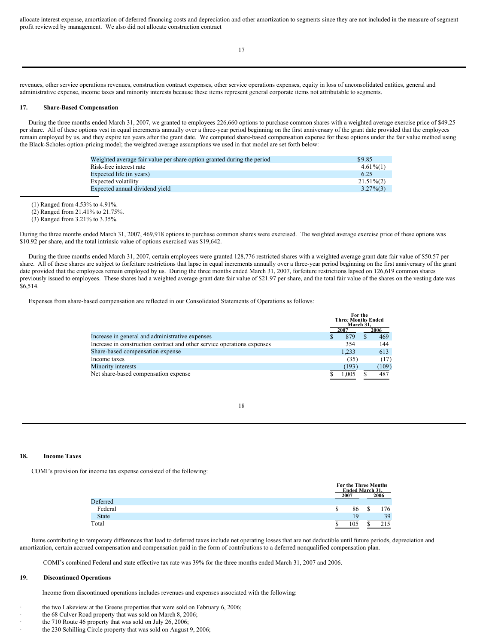allocate interest expense, amortization of deferred financing costs and depreciation and other amortization to segments since they are not included in the measure of segment profit reviewed by management. We also did not allocate construction contract

revenues, other service operations revenues, construction contract expenses, other service operations expenses, equity in loss of unconsolidated entities, general and administrative expense, income taxes and minority interests because these items represent general corporate items not attributable to segments.

# **17. Share-Based Compensation**

During the three months ended March 31, 2007, we granted to employees 226,660 options to purchase common shares with a weighted average exercise price of \$49.25 per share. All of these options vest in equal increments annually over a three-year period beginning on the first anniversary of the grant date provided that the employees remain employed by us, and they expire ten years after the grant date. We computed share-based compensation expense for these options under the fair value method using the Black-Scholes option-pricing model; the weighted average assumptions we used in that model are set forth below:

| Weighted average fair value per share option granted during the period | \$9.85       |
|------------------------------------------------------------------------|--------------|
| Risk-free interest rate                                                | $4.61\%$ (1) |
| Expected life (in years)                                               | 6.25         |
| Expected volatility                                                    | $21.51\%/2)$ |
| Expected annual dividend yield                                         | $3.27\%$ (3) |

(1) Ranged from 4.53% to 4.91%.

(2) Ranged from 21.41% to 21.75%.

(3) Ranged from 3.21% to 3.35%.

During the three months ended March 31, 2007, 469,918 options to purchase common shares were exercised. The weighted average exercise price of these options was \$10.92 per share, and the total intrinsic value of options exercised was \$19,642.

During the three months ended March 31, 2007, certain employees were granted 128,776 restricted shares with a weighted average grant date fair value of \$50.57 per share. All of these shares are subject to forfeiture restrictions that lapse in equal increments annually over a three-year period beginning on the first anniversary of the grant date provided that the employees remain employed by us. During the three months ended March 31, 2007, forfeiture restrictions lapsed on 126,619 common shares previously issued to employees. These shares had a weighted average grant date fair value of \$21.97 per share, and the total fair value of the shares on the vesting date was \$6,514.

Expenses from share-based compensation are reflected in our Consolidated Statements of Operations as follows:

|                                                                         | For the<br><b>Three Months Ended</b><br>March 31. |   |       |
|-------------------------------------------------------------------------|---------------------------------------------------|---|-------|
|                                                                         | 2007                                              |   | 2006  |
| Increase in general and administrative expenses                         | 879                                               | S | 469   |
| Increase in construction contract and other service operations expenses | 354                                               |   | 144   |
| Share-based compensation expense                                        | 1.233                                             |   | 613   |
| Income taxes                                                            | (35)                                              |   | (17)  |
| Minority interests                                                      | (193)                                             |   | (109) |
| Net share-based compensation expense                                    | 1,005                                             |   | 487   |

# 18

# **18. Income Taxes**

COMI's provision for income tax expense consisted of the following:

|              | For the Three Months<br>Ended March 31,<br>2007 | 2006 |
|--------------|-------------------------------------------------|------|
| Deferred     |                                                 |      |
| Federal      | 86<br>ה.                                        | .76  |
| <b>State</b> | 19                                              | 39   |
| Total        | 105                                             |      |

Items contributing to temporary differences that lead to deferred taxes include net operating losses that are not deductible until future periods, depreciation and amortization, certain accrued compensation and compensation paid in the form of contributions to a deferred nonqualified compensation plan.

COMI's combined Federal and state effective tax rate was 39% for the three months ended March 31, 2007 and 2006.

# **19. Discontinued Operations**

Income from discontinued operations includes revenues and expenses associated with the following:

- the two Lakeview at the Greens properties that were sold on February 6, 2006;
- the 68 Culver Road property that was sold on March 8, 2006;
- the 710 Route 46 property that was sold on July 26, 2006;
- the 230 Schilling Circle property that was sold on August 9, 2006;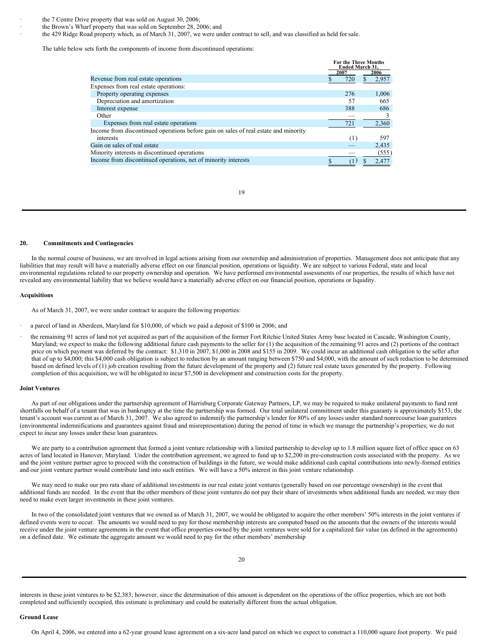the 7 Centre Drive property that was sold on August 30, 2006;

the Brown's Wharf property that was sold on September 28, 2006; and

the 429 Ridge Road property which, as of March 31, 2007, we were under contract to sell, and was classified as held for sale.

The table below sets forth the components of income from discontinued operations:

|                                                                                      | For the Three Months<br><b>Ended March 31.</b> |      |  |       |
|--------------------------------------------------------------------------------------|------------------------------------------------|------|--|-------|
|                                                                                      |                                                | 2007 |  | 2006  |
| Revenue from real estate operations                                                  |                                                | 720  |  | 2,957 |
| Expenses from real estate operations:                                                |                                                |      |  |       |
| Property operating expenses                                                          |                                                | 276  |  | 1,006 |
| Depreciation and amortization                                                        |                                                | 57   |  | 665   |
| Interest expense                                                                     |                                                | 388  |  | 686   |
| Other                                                                                |                                                |      |  |       |
| Expenses from real estate operations                                                 |                                                | 721  |  | 2,360 |
| Income from discontinued operations before gain on sales of real estate and minority |                                                |      |  |       |
| interests                                                                            |                                                | (1)  |  | 597   |
| Gain on sales of real estate                                                         |                                                |      |  | 2,435 |
| Minority interests in discontinued operations                                        |                                                |      |  | (555) |
| Income from discontinued operations, net of minority interests                       |                                                | (1)  |  | 2.477 |

#### **20. Commitments and Contingencies**

In the normal course of business, we are involved in legal actions arising from our ownership and administration of properties. Management does not anticipate that any liabilities that may result will have a materially adverse effect on our financial position, operations or liquidity. We are subject to various Federal, state and local environmental regulations related to our property ownership and operation. We have performed environmental assessments of our properties, the results of which have not revealed any environmental liability that we believe would have a materially adverse effect on our financial position, operations or liquidity.

#### **Acquisitions**

As of March 31, 2007, we were under contract to acquire the following properties:

- a parcel of land in Aberdeen, Maryland for \$10,000, of which we paid a deposit of \$100 in 2006; and
- · the remaining 91 acres of land not yet acquired as part of the acquisition of the former Fort Ritchie United States Army base located in Cascade, Washington County, Maryland; we expect to make the following additional future cash payments to the seller for (1) the acquisition of the remaining 91 acres and (2) portions of the contract price on which payment was deferred by the contract: \$1,310 in 2007, \$1,000 in 2008 and \$155 in 2009. We could incur an additional cash obligation to the seller after that of up to \$4,000; this \$4,000 cash obligation is subject to reduction by an amount ranging between \$750 and \$4,000, with the amount of such reduction to be determined based on defined levels of (1) job creation resulting from the future development of the property and (2) future real estate taxes generated by the property. Following completion of this acquisition, we will be obligated to incur \$7,500 in development and construction costs for the property.

#### **Joint Ventures**

As part of our obligations under the partnership agreement of Harrisburg Corporate Gateway Partners, LP, we may be required to make unilateral payments to fund rent shortfalls on behalf of a tenant that was in bankruptcy at the time the partnership was formed. Our total unilateral commitment under this guaranty is approximately \$153; the tenant's account was current as of March 31, 2007. We also agreed to indemnify the partnership's lender for 80% of any losses under standard nonrecourse loan guarantees (environmental indemnifications and guarantees against fraud and misrepresentation) during the period of time in which we manage the partnership's properties; we do not expect to incur any losses under these loan guarantees.

We are party to a contribution agreement that formed a joint venture relationship with a limited partnership to develop up to 1.8 million square feet of office space on 63 acres of land located in Hanover, Maryland. Under the contribution agreement, we agreed to fund up to \$2,200 in pre-construction costs associated with the property. As we and the joint venture partner agree to proceed with the construction of buildings in the future, we would make additional cash capital contributions into newly-formed entities and our joint venture partner would contribute land into such entities. We will have a 50% interest in this joint venture relationship.

We may need to make our pro rata share of additional investments in our real estate joint ventures (generally based on our percentage ownership) in the event that additional funds are needed. In the event that the other members of these joint ventures do not pay their share of investments when additional funds are needed, we may then need to make even larger investments in these joint ventures.

In two of the consolidated joint ventures that we owned as of March 31, 2007, we would be obligated to acquire the other members' 50% interests in the joint ventures if defined events were to occur. The amounts we would need to pay for those membership interests are computed based on the amounts that the owners of the interests would receive under the joint venture agreements in the event that office properties owned by the joint ventures were sold for a capitalized fair value (as defined in the agreements) on a defined date. We estimate the aggregate amount we would need to pay for the other members' membership

interests in these joint ventures to be \$2,383; however, since the determination of this amount is dependent on the operations of the office properties, which are not both completed and sufficiently occupied, this estimate is preliminary and could be materially different from the actual obligation.

**Ground Lease**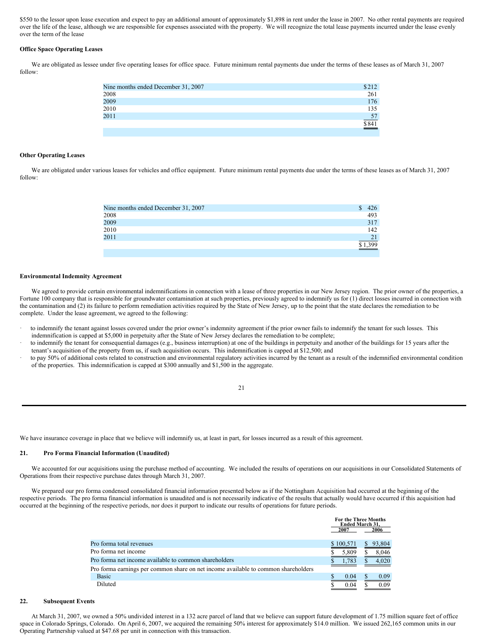\$550 to the lessor upon lease execution and expect to pay an additional amount of approximately \$1,898 in rent under the lease in 2007. No other rental payments are required over the life of the lease, although we are responsible for expenses associated with the property. We will recognize the total lease payments incurred under the lease evenly over the term of the lease

## **Office Space Operating Leases**

We are obligated as lessee under five operating leases for office space. Future minimum rental payments due under the terms of these leases as of March 31, 2007 follow:

| Nine months ended December 31, 2007 | \$212            |
|-------------------------------------|------------------|
| 2008                                | 261              |
| 2009                                | 176              |
| 2010                                | 135              |
| 2011                                |                  |
|                                     | $rac{57}{\$841}$ |
|                                     |                  |

## **Other Operating Leases**

We are obligated under various leases for vehicles and office equipment. Future minimum rental payments due under the terms of these leases as of March 31, 2007 follow:

| 493         |
|-------------|
| 317         |
| 142         |
| $2^{\circ}$ |
|             |
|             |

#### **Environmental Indemnity Agreement**

We agreed to provide certain environmental indemnifications in connection with a lease of three properties in our New Jersey region. The prior owner of the properties, a Fortune 100 company that is responsible for groundwater contamination at such properties, previously agreed to indemnify us for (1) direct losses incurred in connection with the contamination and (2) its failure to perform remediation activities required by the State of New Jersey, up to the point that the state declares the remediation to be complete. Under the lease agreement, we agreed to the following:

- to indemnify the tenant against losses covered under the prior owner's indemnity agreement if the prior owner fails to indemnify the tenant for such losses. This indemnification is capped at \$5,000 in perpetuity after the State of New Jersey declares the remediation to be complete;
- to indemnify the tenant for consequential damages (e.g., business interruption) at one of the buildings in perpetuity and another of the buildings for 15 years after the tenant's acquisition of the property from us, if such acquisition occurs. This indemnification is capped at \$12,500; and
- to pay 50% of additional costs related to construction and environmental regulatory activities incurred by the tenant as a result of the indemnified environmental condition of the properties. This indemnification is capped at \$300 annually and \$1,500 in the aggregate.

| ×<br>ł  |  |
|---------|--|
| ×,<br>I |  |
|         |  |
|         |  |

We have insurance coverage in place that we believe will indemnify us, at least in part, for losses incurred as a result of this agreement.

# **21. Pro Forma Financial Information (Unaudited)**

We accounted for our acquisitions using the purchase method of accounting. We included the results of operations on our acquisitions in our Consolidated Statements of Operations from their respective purchase dates through March 31, 2007.

We prepared our pro forma condensed consolidated financial information presented below as if the Nottingham Acquisition had occurred at the beginning of the respective periods. The pro forma financial information is unaudited and is not necessarily indicative of the results that actually would have occurred if this acquisition had occurred at the beginning of the respective periods, nor does it purport to indicate our results of operations for future periods.

|                                                                                    | <b>For the Three Months</b><br><b>Ended March 31.</b><br>2007 |    | 2006   |
|------------------------------------------------------------------------------------|---------------------------------------------------------------|----|--------|
| Pro forma total revenues                                                           | \$100,571                                                     |    | 93,804 |
| Pro forma net income                                                               | 5,809                                                         | ъ. | 8.046  |
| Pro forma net income available to common shareholders                              | 1.783                                                         |    | 4.020  |
| Pro forma earnings per common share on net income available to common shareholders |                                                               |    |        |
| <b>Basic</b>                                                                       | 0.04                                                          |    | 0.09   |
| Diluted                                                                            | 0.04                                                          |    | 0.09   |

# **22. Subsequent Events**

At March 31, 2007, we owned a 50% undivided interest in a 132 acre parcel of land that we believe can support future development of 1.75 million square feet of office space in Colorado Springs, Colorado. On April 6, 2007, we acquired the remaining 50% interest for approximately \$14.0 million. We issued 262,165 common units in our Operating Partnership valued at \$47.68 per unit in connection with this transaction.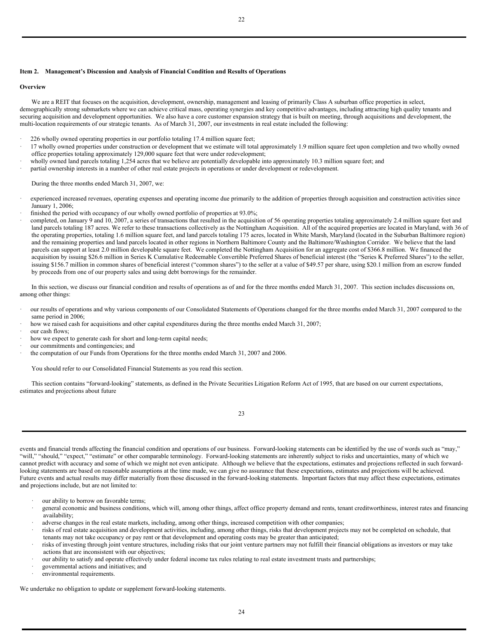## <span id="page-14-0"></span>**Item 2. Management's Discussion and Analysis of Financial Condition and Results of Operations**

#### **Overview**

We are a REIT that focuses on the acquisition, development, ownership, management and leasing of primarily Class A suburban office properties in select, demographically strong submarkets where we can achieve critical mass, operating synergies and key competitive advantages, including attracting high quality tenants and securing acquisition and development opportunities. We also have a core customer expansion strategy that is built on meeting, through acquisitions and development, the multi-location requirements of our strategic tenants. As of March 31, 2007, our investments in real estate included the following:

- 226 wholly owned operating properties in our portfolio totaling 17.4 million square feet;
- · 17 wholly owned properties under construction or development that we estimate will total approximately 1.9 million square feet upon completion and two wholly owned office properties totaling approximately 129,000 square feet that were under redevelopment;
- wholly owned land parcels totaling 1,254 acres that we believe are potentially developable into approximately 10.3 million square feet; and
- partial ownership interests in a number of other real estate projects in operations or under development or redevelopment.

During the three months ended March 31, 2007, we:

- · experienced increased revenues, operating expenses and operating income due primarily to the addition of properties through acquisition and construction activities since January 1, 2006;
- finished the period with occupancy of our wholly owned portfolio of properties at 93.0%;
- completed, on January 9 and 10, 2007, a series of transactions that resulted in the acquisition of 56 operating properties totaling approximately 2.4 million square feet and land parcels totaling 187 acres. We refer to these transactions collectively as the Nottingham Acquisition. All of the acquired properties are located in Maryland, with 36 of the operating properties, totaling 1.6 million square feet, and land parcels totaling 175 acres, located in White Marsh, Maryland (located in the Suburban Baltimore region) and the remaining properties and land parcels located in other regions in Northern Baltimore County and the Baltimore/Washington Corridor. We believe that the land parcels can support at least 2.0 million developable square feet. We completed the Nottingham Acquisition for an aggregate cost of \$366.8 million. We financed the acquisition by issuing \$26.6 million in Series K Cumulative Redeemable Convertible Preferred Shares of beneficial interest (the "Series K Preferred Shares") to the seller, issuing \$156.7 million in common shares of beneficial interest ("common shares") to the seller at a value of \$49.57 per share, using \$20.1 million from an escrow funded by proceeds from one of our property sales and using debt borrowings for the remainder.

In this section, we discuss our financial condition and results of operations as of and for the three months ended March 31, 2007. This section includes discussions on, among other things:

- our results of operations and why various components of our Consolidated Statements of Operations changed for the three months ended March 31, 2007 compared to the same period in 2006;
- how we raised cash for acquisitions and other capital expenditures during the three months ended March 31, 2007;
- our cash flows:
- how we expect to generate cash for short and long-term capital needs;
- our commitments and contingencies; and
- the computation of our Funds from Operations for the three months ended March 31, 2007 and 2006.

You should refer to our Consolidated Financial Statements as you read this section.

This section contains "forward-looking" statements, as defined in the Private Securities Litigation Reform Act of 1995, that are based on our current expectations, estimates and projections about future

events and financial trends affecting the financial condition and operations of our business. Forward-looking statements can be identified by the use of words such as "may," "will," "should," "expect," "estimate" or other comparable terminology. Forward-looking statements are inherently subject to risks and uncertainties, many of which we cannot predict with accuracy and some of which we might not even anticipate. Although we believe that the expectations, estimates and projections reflected in such forwardlooking statements are based on reasonable assumptions at the time made, we can give no assurance that these expectations, estimates and projections will be achieved. Future events and actual results may differ materially from those discussed in the forward-looking statements. Important factors that may affect these expectations, estimates and projections include, but are not limited to:

- our ability to borrow on favorable terms;
- · general economic and business conditions, which will, among other things, affect office property demand and rents, tenant creditworthiness, interest rates and financing availability;
- adverse changes in the real estate markets, including, among other things, increased competition with other companies;
- · risks of real estate acquisition and development activities, including, among other things, risks that development projects may not be completed on schedule, that tenants may not take occupancy or pay rent or that development and operating costs may be greater than anticipated;
- · risks of investing through joint venture structures, including risks that our joint venture partners may not fulfill their financial obligations as investors or may take actions that are inconsistent with our objectives;
- our ability to satisfy and operate effectively under federal income tax rules relating to real estate investment trusts and partnerships;
- · governmental actions and initiatives; and
- environmental requirements.

We undertake no obligation to update or supplement forward-looking statements.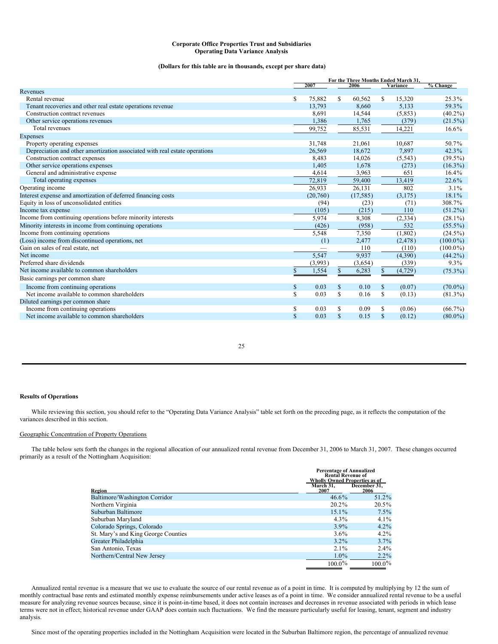## **Corporate Office Properties Trust and Subsidiaries Operating Data Variance Analysis**

## **(Dollars for this table are in thousands, except per share data)**

|                                                                            | For the Three Months Ended March 31, |          |              |           |              |          |             |
|----------------------------------------------------------------------------|--------------------------------------|----------|--------------|-----------|--------------|----------|-------------|
|                                                                            |                                      | 2007     |              | 2006      |              | Variance | $% Change$  |
| Revenues                                                                   |                                      |          |              |           |              |          |             |
| Rental revenue                                                             | \$                                   | 75,882   | \$           | 60,562    | \$           | 15,320   | 25.3%       |
| Tenant recoveries and other real estate operations revenue                 |                                      | 13,793   |              | 8,660     |              | 5,133    | 59.3%       |
| Construction contract revenues                                             |                                      | 8,691    |              | 14,544    |              | (5,853)  | $(40.2\%)$  |
| Other service operations revenues                                          |                                      | 1,386    |              | 1,765     |              | (379)    | $(21.5\%)$  |
| Total revenues                                                             |                                      | 99,752   |              | 85,531    |              | 14,221   | 16.6%       |
| <b>Expenses</b>                                                            |                                      |          |              |           |              |          |             |
| Property operating expenses                                                |                                      | 31,748   |              | 21,061    |              | 10,687   | 50.7%       |
| Depreciation and other amortization associated with real estate operations |                                      | 26,569   |              | 18,672    |              | 7,897    | 42.3%       |
| Construction contract expenses                                             |                                      | 8,483    |              | 14,026    |              | (5, 543) | $(39.5\%)$  |
| Other service operations expenses                                          |                                      | 1,405    |              | 1,678     |              | (273)    | $(16.3\%)$  |
| General and administrative expense                                         |                                      | 4,614    |              | 3,963     |              | 651      | 16.4%       |
| Total operating expenses                                                   |                                      | 72,819   |              | 59,400    |              | 13,419   | 22.6%       |
| Operating income                                                           |                                      | 26.933   |              | 26,131    |              | 802      | 3.1%        |
| Interest expense and amortization of deferred financing costs              |                                      | (20,760) |              | (17, 585) |              | (3,175)  | 18.1%       |
| Equity in loss of unconsolidated entities                                  |                                      | (94)     |              | (23)      |              | (71)     | 308.7%      |
| Income tax expense                                                         |                                      | (105)    |              | (215)     |              | 110      | $(51.2\%)$  |
| Income from continuing operations before minority interests                |                                      | 5,974    |              | 8,308     |              | (2, 334) | $(28.1\%)$  |
| Minority interests in income from continuing operations                    |                                      | (426)    |              | (958)     |              | 532      | $(55.5\%)$  |
| Income from continuing operations                                          |                                      | 5,548    |              | 7,350     |              | (1,802)  | $(24.5\%)$  |
| (Loss) income from discontinued operations, net                            |                                      | (1)      |              | 2,477     |              | (2, 478) | $(100.0\%)$ |
| Gain on sales of real estate, net                                          |                                      |          |              | 110       |              | (110)    | $(100.0\%)$ |
| Net income                                                                 |                                      | 5,547    |              | 9,937     |              | (4,390)  | $(44.2\%)$  |
| Preferred share dividends                                                  |                                      | (3,993)  |              | (3,654)   |              | (339)    | $9.3\%$     |
| Net income available to common shareholders                                | \$                                   | 1,554    | $\mathbb{S}$ | 6,283     | \$           | (4, 729) | $(75.3\%)$  |
| Basic earnings per common share                                            |                                      |          |              |           |              |          |             |
| Income from continuing operations                                          | \$                                   | 0.03     | $\mathbb{S}$ | 0.10      | \$           | (0.07)   | $(70.0\%)$  |
| Net income available to common shareholders                                | Ś                                    | 0.03     | S            | 0.16      | S            | (0.13)   | $(81.3\%)$  |
| Diluted earnings per common share                                          |                                      |          |              |           |              |          |             |
| Income from continuing operations                                          | S                                    | 0.03     | S            | 0.09      | S            | (0.06)   | $(66.7\%)$  |
| Net income available to common shareholders                                | \$                                   | 0.03     | $\mathbf S$  | 0.15      | $\mathbb{S}$ | (0.12)   | $(80.0\%)$  |

#### **Results of Operations**

While reviewing this section, you should refer to the "Operating Data Variance Analysis" table set forth on the preceding page, as it reflects the computation of the variances described in this section.

# Geographic Concentration of Property Operations

The table below sets forth the changes in the regional allocation of our annualized rental revenue from December 31, 2006 to March 31, 2007. These changes occurred primarily as a result of the Nottingham Acquisition:

|                                     | <b>Percentage of Annualized</b><br><b>Rental Revenue of</b><br><b>Wholly Owned Properties as of</b> |                      |
|-------------------------------------|-----------------------------------------------------------------------------------------------------|----------------------|
| Region                              | March 31.<br>2007                                                                                   | December 31,<br>2006 |
| Baltimore/Washington Corridor       | $46.6\%$                                                                                            | 51.2%                |
| Northern Virginia                   | $20.2\%$                                                                                            | 20.5%                |
| Suburban Baltimore                  | $15.1\%$                                                                                            | $7.5\%$              |
| Suburban Maryland                   | $4.3\%$                                                                                             | $4.1\%$              |
| Colorado Springs, Colorado          | $3.9\%$                                                                                             | 4.2%                 |
| St. Mary's and King George Counties | $3.6\%$                                                                                             | $4.2\%$              |
| Greater Philadelphia                | $3.2\%$                                                                                             | $3.7\%$              |
| San Antonio, Texas                  | $2.1\%$                                                                                             | 2.4%                 |
| Northern/Central New Jersey         | $1.0\%$                                                                                             | $2.2\%$              |
|                                     | $100.0\%$                                                                                           | $100.0\%$            |

Annualized rental revenue is a measure that we use to evaluate the source of our rental revenue as of a point in time. It is computed by multiplying by 12 the sum of monthly contractual base rents and estimated monthly expense reimbursements under active leases as of a point in time. We consider annualized rental revenue to be a useful measure for analyzing revenue sources because, since it is point-in-time based, it does not contain increases and decreases in revenue associated with periods in which lease terms were not in effect; historical revenue under GAAP does contain such fluctuations. We find the measure particularly useful for leasing, tenant, segment and industry analysis.

Since most of the operating properties included in the Nottingham Acquisition were located in the Suburban Baltimore region, the percentage of annualized revenue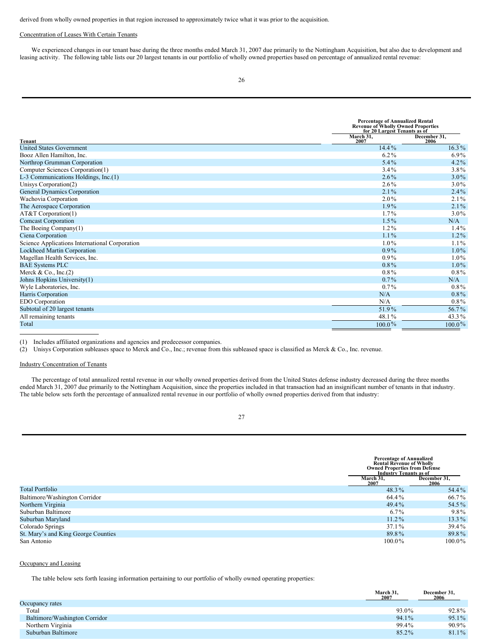derived from wholly owned properties in that region increased to approximately twice what it was prior to the acquisition.

#### Concentration of Leases With Certain Tenants

We experienced changes in our tenant base during the three months ended March 31, 2007 due primarily to the Nottingham Acquisition, but also due to development and leasing activity. The following table lists our 20 largest tenants in our portfolio of wholly owned properties based on percentage of annualized rental revenue:

|                                                |                   | <b>Percentage of Annualized Rental</b><br><b>Revenue of Wholly Owned Properties</b><br>for 20 Largest Tenants as of |  |  |  |
|------------------------------------------------|-------------------|---------------------------------------------------------------------------------------------------------------------|--|--|--|
| Tenant                                         | March 31.<br>2007 | December 31.<br>2006                                                                                                |  |  |  |
| <b>United States Government</b>                | $14.4\%$          | $16.3\%$                                                                                                            |  |  |  |
| Booz Allen Hamilton, Inc.                      | $6.2\%$           | $6.9\%$                                                                                                             |  |  |  |
| Northrop Grumman Corporation                   | $5.4\%$           | $4.2\%$                                                                                                             |  |  |  |
| Computer Sciences Corporation(1)               | $3.4\%$           | 3.8%                                                                                                                |  |  |  |
| L-3 Communications Holdings, Inc.(1)           | $2.6\%$           | $3.0\%$                                                                                                             |  |  |  |
| Unisys Corporation(2)                          | $2.6\%$           | $3.0\%$                                                                                                             |  |  |  |
| <b>General Dynamics Corporation</b>            | $2.1\%$           | $2.4\%$                                                                                                             |  |  |  |
| Wachovia Corporation                           | $2.0\%$           | $2.1\%$                                                                                                             |  |  |  |
| The Aerospace Corporation                      | $1.9\%$           | $2.1\%$                                                                                                             |  |  |  |
| AT&T Corporation(1)                            | $1.7\%$           | $3.0\%$                                                                                                             |  |  |  |
| <b>Comcast Corporation</b>                     | $1.5\%$           | N/A                                                                                                                 |  |  |  |
| The Boeing Company(1)                          | $1.2\%$           | $1.4\%$                                                                                                             |  |  |  |
| Ciena Corporation                              | $1.1\%$           | $1.2\%$                                                                                                             |  |  |  |
| Science Applications International Corporation | $1.0\%$           | $1.1\%$                                                                                                             |  |  |  |
| <b>Lockheed Martin Corporation</b>             | $0.9\%$           | $1.0\%$                                                                                                             |  |  |  |
| Magellan Health Services, Inc.                 | $0.9\%$           | $1.0\%$                                                                                                             |  |  |  |
| <b>BAE Systems PLC</b>                         | $0.8\%$           | $1.0\%$                                                                                                             |  |  |  |
| Merck & Co., Inc. $(2)$                        | $0.8\%$           | $0.8\%$                                                                                                             |  |  |  |
| Johns Hopkins University(1)                    | $0.7\%$           | N/A                                                                                                                 |  |  |  |
| Wyle Laboratories, Inc.                        | $0.7\%$           | $0.8\%$                                                                                                             |  |  |  |
| Harris Corporation                             | N/A               | $0.8\%$                                                                                                             |  |  |  |
| EDO Corporation                                | N/A               | $0.8\%$                                                                                                             |  |  |  |
| Subtotal of 20 largest tenants                 | 51.9%             | 56.7%                                                                                                               |  |  |  |
| All remaining tenants                          | 48.1%             | 43.3%                                                                                                               |  |  |  |
| Total                                          | $100.0\%$         | $100.0\%$                                                                                                           |  |  |  |

(1) Includes affiliated organizations and agencies and predecessor companies.

(2) Unisys Corporation subleases space to Merck and Co., Inc.; revenue from this subleased space is classified as Merck & Co., Inc. revenue.

# Industry Concentration of Tenants

The percentage of total annualized rental revenue in our wholly owned properties derived from the United States defense industry decreased during the three months ended March 31, 2007 due primarily to the Nottingham Acquisition, since the properties included in that transaction had an insignificant number of tenants in that industry. The table below sets forth the percentage of annualized rental revenue in our portfolio of wholly owned properties derived from that industry:

| I |  |
|---|--|

|                                     | <b>Percentage of Annualized</b><br><b>Rental Revenue of Wholly</b><br><b>Owned Properties from Defense</b><br><b>Industry Tenants as of</b> |                      |
|-------------------------------------|---------------------------------------------------------------------------------------------------------------------------------------------|----------------------|
|                                     | March 31,<br>2007                                                                                                                           | December 31,<br>2006 |
| <b>Total Portfolio</b>              | 48.3%                                                                                                                                       | 54.4%                |
| Baltimore/Washington Corridor       | 64.4%                                                                                                                                       | 66.7%                |
| Northern Virginia                   | $49.4\%$                                                                                                                                    | 54.5%                |
| Suburban Baltimore                  | $6.7\%$                                                                                                                                     | $9.8\%$              |
| Suburban Maryland                   | $11.2\%$                                                                                                                                    | $13.3\%$             |
| Colorado Springs                    | $37.1\%$                                                                                                                                    | 39.4%                |
| St. Mary's and King George Counties | 89.8%                                                                                                                                       | 89.8%                |
| San Antonio                         | $100.0\%$                                                                                                                                   | $100.0\%$            |

#### Occupancy and Leasing

The table below sets forth leasing information pertaining to our portfolio of wholly owned operating properties:

|                               | March 31.<br>2007 | December 31,<br>2006 |
|-------------------------------|-------------------|----------------------|
| Occupancy rates               |                   |                      |
| Total                         | 93.0%             | 92.8%                |
| Baltimore/Washington Corridor | 94.1%             | $95.1\%$             |
| Northern Virginia             | 99.4%             | 90.9%                |
| Suburban Baltimore            | 85.2%             | 81.1%                |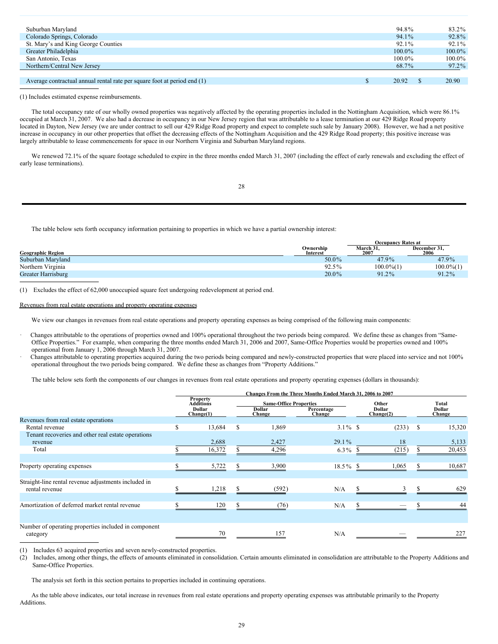| Suburban Maryland                                                        | 94.8%     | 83.2%  |
|--------------------------------------------------------------------------|-----------|--------|
| Colorado Springs, Colorado                                               | 94.1%     | 92.8%  |
| St. Mary's and King George Counties                                      | 92.1%     | 92.1%  |
| Greater Philadelphia                                                     | $100.0\%$ | 100.0% |
| San Antonio, Texas                                                       | 100.0%    | 100.0% |
| Northern/Central New Jersey                                              | 68.7%     | 97.2%  |
|                                                                          |           |        |
| Average contractual annual rental rate per square foot at period end (1) | 20.92     | 20.90  |

(1) Includes estimated expense reimbursements.

The total occupancy rate of our wholly owned properties was negatively affected by the operating properties included in the Nottingham Acquisition, which were 86.1% occupied at March 31, 2007. We also had a decrease in occupancy in our New Jersey region that was attributable to a lease termination at our 429 Ridge Road property located in Dayton, New Jersey (we are under contract to sell our 429 Ridge Road property and expect to complete such sale by January 2008). However, we had a net positive increase in occupancy in our other properties that offset the decreasing effects of the Nottingham Acquisition and the 429 Ridge Road property; this positive increase was largely attributable to lease commencements for space in our Northern Virginia and Suburban Maryland regions.

We renewed 72.1% of the square footage scheduled to expire in the three months ended March 31, 2007 (including the effect of early renewals and excluding the effect of early lease terminations).

The table below sets forth occupancy information pertaining to properties in which we have a partial ownership interest:

|                          |                              | <b>Occupancy Rates at</b> |                      |  |  |  |
|--------------------------|------------------------------|---------------------------|----------------------|--|--|--|
| <b>Geographic Region</b> | Ownership<br><b>Interest</b> | March 31.<br>2007         | December 31.<br>2006 |  |  |  |
| Suburban Marvland        | 50.0%                        | 47.9%                     | 47.9%                |  |  |  |
| Northern Virginia        | 92.5%                        | $100.0\%$ (1)             | $100.0\%$ (1)        |  |  |  |
| Greater Harrisburg       | $20.0\%$                     | 91.2%                     | 91.2%                |  |  |  |

(1) Excludes the effect of 62,000 unoccupied square feet undergoing redevelopment at period end.

#### Revenues from real estate operations and property operating expenses

We view our changes in revenues from real estate operations and property operating expenses as being comprised of the following main components:

- · Changes attributable to the operations of properties owned and 100% operational throughout the two periods being compared. We define these as changes from "Same-Office Properties." For example, when comparing the three months ended March 31, 2006 and 2007, Same-Office Properties would be properties owned and 100% operational from January 1, 2006 through March 31, 2007.
- · Changes attributable to operating properties acquired during the two periods being compared and newly-constructed properties that were placed into service and not 100% operational throughout the two periods being compared. We define these as changes from "Property Additions."

The table below sets forth the components of our changes in revenues from real estate operations and property operating expenses (dollars in thousands):

|                                                      | Changes From the Three Months Ended March 31, 2006 to 2007 |                                                                   |   |                                                          |                      |                                     |       |   |                           |
|------------------------------------------------------|------------------------------------------------------------|-------------------------------------------------------------------|---|----------------------------------------------------------|----------------------|-------------------------------------|-------|---|---------------------------|
|                                                      |                                                            | <b>Property</b><br><b>Additions</b><br><b>Dollar</b><br>Change(1) |   | <b>Same-Office Properties</b><br>Dollar<br><b>Change</b> | Percentage<br>Change | Other<br><b>Dollar</b><br>Change(2) |       |   | Total<br>Dollar<br>Change |
| Revenues from real estate operations                 |                                                            |                                                                   |   |                                                          |                      |                                     |       |   |                           |
| Rental revenue                                       | S                                                          | 13,684                                                            | S | 1,869                                                    | $3.1\%$ \$           |                                     | (233) | S | 15,320                    |
| Tenant recoveries and other real estate operations   |                                                            |                                                                   |   |                                                          |                      |                                     |       |   |                           |
| revenue                                              |                                                            | 2,688                                                             |   | 2,427                                                    | $29.1\%$             |                                     | 18    |   | 5,133                     |
| Total                                                |                                                            | 16,372                                                            |   | 4,296                                                    | 6.3% \$              |                                     | (215) |   | 20,453                    |
|                                                      |                                                            |                                                                   |   |                                                          |                      |                                     |       |   |                           |
| Property operating expenses                          |                                                            | 5,722                                                             |   | 3,900                                                    | $18.5\%$ \$          |                                     | 1,065 |   | 10,687                    |
|                                                      |                                                            |                                                                   |   |                                                          |                      |                                     |       |   |                           |
| Straight-line rental revenue adjustments included in |                                                            |                                                                   |   |                                                          |                      |                                     |       |   |                           |
| rental revenue                                       |                                                            | 1,218                                                             |   | (592)                                                    | N/A                  |                                     |       |   | 629                       |
|                                                      |                                                            |                                                                   |   |                                                          |                      |                                     |       |   |                           |
| Amortization of deferred market rental revenue       |                                                            | 120                                                               |   | (76)                                                     | N/A                  |                                     |       |   | 44                        |
|                                                      |                                                            |                                                                   |   |                                                          |                      |                                     |       |   |                           |
| Number of operating properties included in component |                                                            |                                                                   |   |                                                          |                      |                                     |       |   |                           |
| category                                             |                                                            | 70                                                                |   | 157                                                      | N/A                  |                                     |       |   | 227                       |
|                                                      |                                                            |                                                                   |   |                                                          |                      |                                     |       |   |                           |

(1) Includes 63 acquired properties and seven newly-constructed properties.

(2) Includes, among other things, the effects of amounts eliminated in consolidation. Certain amounts eliminated in consolidation are attributable to the Property Additions and Same-Office Properties.

The analysis set forth in this section pertains to properties included in continuing operations.

As the table above indicates, our total increase in revenues from real estate operations and property operating expenses was attributable primarily to the Property Additions.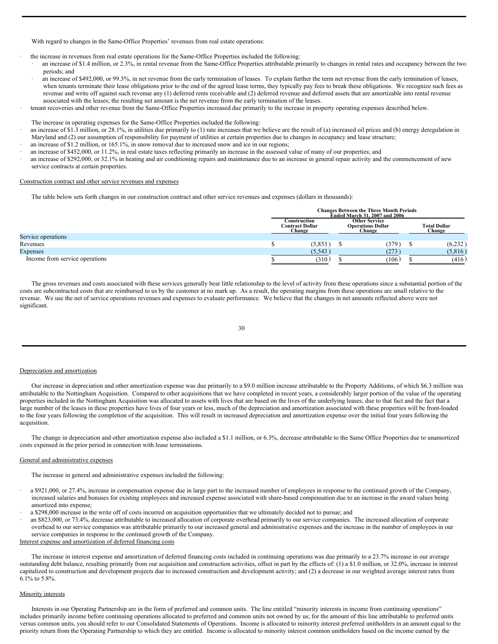With regard to changes in the Same-Office Properties' revenues from real estate operations:

· the increase in revenues from real estate operations for the Same-Office Properties included the following:

- an increase of \$1.4 million, or 2.3%, in rental revenue from the Same-Office Properties attributable primarily to changes in rental rates and occupancy between the two periods; and
- an increase of \$492,000, or 99.3%, in net revenue from the early termination of leases. To explain further the term net revenue from the early termination of leases, when tenants terminate their lease obligations prior to the end of the agreed lease terms, they typically pay fees to break these obligations. We recognize such fees as revenue and write off against such revenue any (1) deferred rents receivable and (2) deferred revenue and deferred assets that are amortizable into rental revenue associated with the leases; the resulting net amount is the net revenue from the early termination of the leases.
- · tenant recoveries and other revenue from the Same-Office Properties increased due primarily to the increase in property operating expenses described below.

The increase in operating expenses for the Same-Office Properties included the following:

- an increase of \$1.3 million, or 28.1%, in utilities due primarily to (1) rate increases that we believe are the result of (a) increased oil prices and (b) energy deregulation in Maryland and (2) our assumption of responsibility for payment of utilities at certain properties due to changes in occupancy and lease structure;
- an increase of \$1.2 million, or 165.1%, in snow removal due to increased snow and ice in our regions;
- · an increase of \$452,000, or 11.2%, in real estate taxes reflecting primarily an increase in the assessed value of many of our properties; and
- an increase of \$292,000, or 32.1% in heating and air conditioning repairs and maintenance due to an increase in general repair activity and the commencement of new service contracts at certain properties.

#### Construction contract and other service revenues and expenses

The table below sets forth changes in our construction contract and other service revenues and expenses (dollars in thousands):

|                                | <b>Changes Between the Three Month Periods</b><br><b>Ended March 31, 2007 and 2006</b> |  |                                                            |  |                               |  |  |
|--------------------------------|----------------------------------------------------------------------------------------|--|------------------------------------------------------------|--|-------------------------------|--|--|
|                                | Construction<br><b>Contract Dollar</b><br>Change                                       |  | <b>Other Service</b><br><b>Operations Dollar</b><br>Change |  | <b>Total Dollar</b><br>Change |  |  |
| Service operations             |                                                                                        |  |                                                            |  |                               |  |  |
| Revenues                       | (5,853)                                                                                |  | (379)                                                      |  | (6,232)                       |  |  |
| <b>Expenses</b>                | (5, 543)                                                                               |  | (273)                                                      |  | (5,816)                       |  |  |
| Income from service operations | (310)                                                                                  |  | (106)                                                      |  | (416)                         |  |  |

The gross revenues and costs associated with these services generally bear little relationship to the level of activity from these operations since a substantial portion of the costs are subcontracted costs that are reimbursed to us by the customer at no mark up. As a result, the operating margins from these operations are small relative to the revenue. We use the net of service operations revenues and expenses to evaluate performance. We believe that the changes in net amounts reflected above were not significant.

|                   | I                  |  |
|-------------------|--------------------|--|
| ۰,<br>I<br>$\sim$ | ۰.<br>۰.<br>$\sim$ |  |

#### Depreciation and amortization

Our increase in depreciation and other amortization expense was due primarily to a \$9.0 million increase attributable to the Property Additions, of which \$6.3 million was attributable to the Nottingham Acquisition. Compared to other acquisitions that we have completed in recent years, a considerably larger portion of the value of the operating properties included in the Nottingham Acquisition was allocated to assets with lives that are based on the lives of the underlying leases; due to that fact and the fact that a large number of the leases in these properties have lives of four years or less, much of the depreciation and amortization associated with these properties will be front-loaded to the four years following the completion of the acquisition. This will result in increased depreciation and amortization expense over the initial four years following the acquisition.

The change in depreciation and other amortization expense also included a \$1.1 million, or 6.3%, decrease attributable to the Same Office Properties due to unamortized costs expensed in the prior period in connection with lease terminations.

## General and administrative expenses

The increase in general and administrative expenses included the following:

- · a \$921,000, or 27.4%, increase in compensation expense due in large part to the increased number of employees in response to the continued growth of the Company, increased salaries and bonuses for existing employees and increased expense associated with share-based compensation due to an increase in the award values being amortized into expense;
- a \$298,000 increase in the write off of costs incurred on acquisition opportunities that we ultimately decided not to pursue; and
- · an \$823,000, or 73.4%, decrease attributable to increased allocation of corporate overhead primarily to our service companies. The increased allocation of corporate overhead to our service companies was attributable primarily to our increased general and administrative expenses and the increase in the number of employees in our service companies in response to the continued growth of the Company.

## Interest expense and amortization of deferred financing costs

The increase in interest expense and amortization of deferred financing costs included in continuing operations was due primarily to a 23.7% increase in our average outstanding debt balance, resulting primarily from our acquisition and construction activities, offset in part by the effects of: (1) a \$1.0 million, or 32.0%, increase in interest capitalized to construction and development projects due to increased construction and development activity; and (2) a decrease in our weighted average interest rates from 6.1% to 5.8%.

#### **Minority** interests

Interests in our Operating Partnership are in the form of preferred and common units. The line entitled "minority interests in income from continuing operations" includes primarily income before continuing operations allocated to preferred and common units not owned by us; for the amount of this line attributable to preferred units versus common units, you should refer to our Consolidated Statements of Operations. Income is allocated to minority interest preferred unitholders in an amount equal to the priority return from the Operating Partnership to which they are entitled. Income is allocated to minority interest common unitholders based on the income earned by the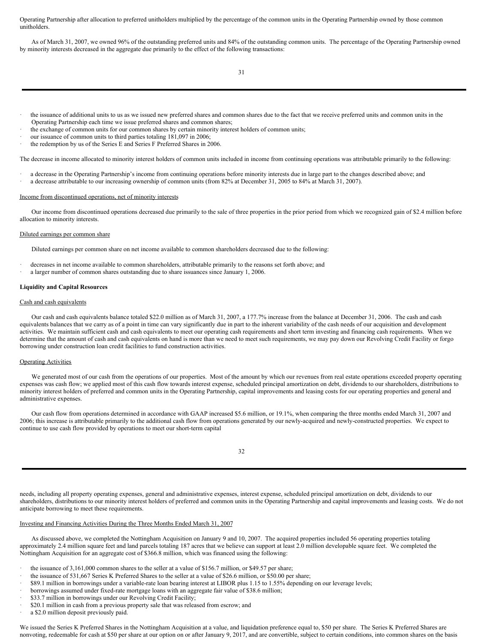Operating Partnership after allocation to preferred unitholders multiplied by the percentage of the common units in the Operating Partnership owned by those common unitholders.

As of March 31, 2007, we owned 96% of the outstanding preferred units and 84% of the outstanding common units. The percentage of the Operating Partnership owned by minority interests decreased in the aggregate due primarily to the effect of the following transactions:

- the issuance of additional units to us as we issued new preferred shares and common shares due to the fact that we receive preferred units and common units in the Operating Partnership each time we issue preferred shares and common shares;
- the exchange of common units for our common shares by certain minority interest holders of common units;
- our issuance of common units to third parties totaling 181,097 in 2006;
- the redemption by us of the Series E and Series F Preferred Shares in 2006.

The decrease in income allocated to minority interest holders of common units included in income from continuing operations was attributable primarily to the following:

- a decrease in the Operating Partnership's income from continuing operations before minority interests due in large part to the changes described above; and
- · a decrease attributable to our increasing ownership of common units (from 82% at December 31, 2005 to 84% at March 31, 2007).

#### Income from discontinued operations, net of minority interests

Our income from discontinued operations decreased due primarily to the sale of three properties in the prior period from which we recognized gain of \$2.4 million before allocation to minority interests.

#### Diluted earnings per common share

Diluted earnings per common share on net income available to common shareholders decreased due to the following:

- decreases in net income available to common shareholders, attributable primarily to the reasons set forth above; and
- a larger number of common shares outstanding due to share issuances since January 1, 2006.

## **Liquidity and Capital Resources**

#### Cash and cash equivalents

Our cash and cash equivalents balance totaled \$22.0 million as of March 31, 2007, a 177.7% increase from the balance at December 31, 2006. The cash and cash equivalents balances that we carry as of a point in time can vary significantly due in part to the inherent variability of the cash needs of our acquisition and development activities. We maintain sufficient cash and cash equivalents to meet our operating cash requirements and short term investing and financing cash requirements. When we determine that the amount of cash and cash equivalents on hand is more than we need to meet such requirements, we may pay down our Revolving Credit Facility or forgo borrowing under construction loan credit facilities to fund construction activities.

## Operating Activities

We generated most of our cash from the operations of our properties. Most of the amount by which our revenues from real estate operations exceeded property operating expenses was cash flow; we applied most of this cash flow towards interest expense, scheduled principal amortization on debt, dividends to our shareholders, distributions to minority interest holders of preferred and common units in the Operating Partnership, capital improvements and leasing costs for our operating properties and general and administrative expenses.

Our cash flow from operations determined in accordance with GAAP increased \$5.6 million, or 19.1%, when comparing the three months ended March 31, 2007 and 2006; this increase is attributable primarily to the additional cash flow from operations generated by our newly-acquired and newly-constructed properties. We expect to continue to use cash flow provided by operations to meet our short-term capital

#### 32

needs, including all property operating expenses, general and administrative expenses, interest expense, scheduled principal amortization on debt, dividends to our shareholders, distributions to our minority interest holders of preferred and common units in the Operating Partnership and capital improvements and leasing costs. We do not anticipate borrowing to meet these requirements.

## Investing and Financing Activities During the Three Months Ended March 31, 2007

As discussed above, we completed the Nottingham Acquisition on January 9 and 10, 2007. The acquired properties included 56 operating properties totaling approximately 2.4 million square feet and land parcels totaling 187 acres that we believe can support at least 2.0 million developable square feet. We completed the Nottingham Acquisition for an aggregate cost of \$366.8 million, which was financed using the following:

- the issuance of 3,161,000 common shares to the seller at a value of \$156.7 million, or \$49.57 per share;
- the issuance of 531,667 Series K Preferred Shares to the seller at a value of \$26.6 million, or \$50.00 per share;
- · \$89.1 million in borrowings under a variable-rate loan bearing interest at LIBOR plus 1.15 to 1.55% depending on our leverage levels;
- borrowings assumed under fixed-rate mortgage loans with an aggregate fair value of \$38.6 million;
- · \$33.7 million in borrowings under our Revolving Credit Facility;
- · \$20.1 million in cash from a previous property sale that was released from escrow; and
- a \$2.0 million deposit previously paid.

We issued the Series K Preferred Shares in the Nottingham Acquisition at a value, and liquidation preference equal to, \$50 per share. The Series K Preferred Shares are nonvoting, redeemable for cash at \$50 per share at our option on or after January 9, 2017, and are convertible, subject to certain conditions, into common shares on the basis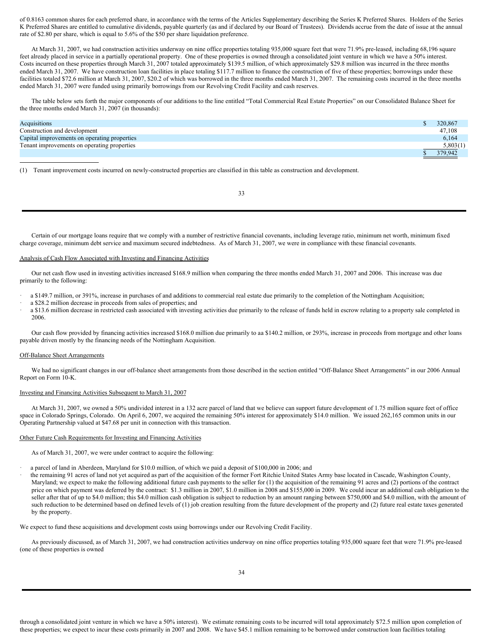of 0.8163 common shares for each preferred share, in accordance with the terms of the Articles Supplementary describing the Series K Preferred Shares. Holders of the Series K Preferred Shares are entitled to cumulative dividends, payable quarterly (as and if declared by our Board of Trustees). Dividends accrue from the date of issue at the annual rate of \$2.80 per share, which is equal to 5.6% of the \$50 per share liquidation preference.

At March 31, 2007, we had construction activities underway on nine office properties totaling 935,000 square feet that were 71.9% pre-leased, including 68,196 square feet already placed in service in a partially operational property. One of these properties is owned through a consolidated joint venture in which we have a 50% interest. Costs incurred on these properties through March 31, 2007 totaled approximately \$139.5 million, of which approximately \$29.8 million was incurred in the three months ended March 31, 2007. We have construction loan facilities in place totaling \$117.7 million to finance the construction of five of these properties; borrowings under these facilities totaled \$72.6 million at March 31, 2007, \$20.2 of which was borrowed in the three months ended March 31, 2007. The remaining costs incurred in the three months ended March 31, 2007 were funded using primarily borrowings from our Revolving Credit Facility and cash reserves.

The table below sets forth the major components of our additions to the line entitled "Total Commercial Real Estate Properties" on our Consolidated Balance Sheet for the three months ended March 31, 2007 (in thousands):

| Acquisitions                                 | 320,867  |
|----------------------------------------------|----------|
| Construction and development                 | 47.108   |
| Capital improvements on operating properties | 6,164    |
| Tenant improvements on operating properties  | 5,803(1) |
|                                              | 379,942  |

(1) Tenant improvement costs incurred on newly-constructed properties are classified in this table as construction and development.

33

Certain of our mortgage loans require that we comply with a number of restrictive financial covenants, including leverage ratio, minimum net worth, minimum fixed charge coverage, minimum debt service and maximum secured indebtedness. As of March 31, 2007, we were in compliance with these financial covenants.

#### Analysis of Cash Flow Associated with Investing and Financing Activities

Our net cash flow used in investing activities increased \$168.9 million when comparing the three months ended March 31, 2007 and 2006. This increase was due primarily to the following:

- a \$149.7 million, or 391%, increase in purchases of and additions to commercial real estate due primarily to the completion of the Nottingham Acquisition;
- a \$28.2 million decrease in proceeds from sales of properties; and
- a \$13.6 million decrease in restricted cash associated with investing activities due primarily to the release of funds held in escrow relating to a property sale completed in 2006.

Our cash flow provided by financing activities increased \$168.0 million due primarily to aa \$140.2 million, or 293%, increase in proceeds from mortgage and other loans payable driven mostly by the financing needs of the Nottingham Acquisition.

#### Off-Balance Sheet Arrangements

We had no significant changes in our off-balance sheet arrangements from those described in the section entitled "Off-Balance Sheet Arrangements" in our 2006 Annual Report on Form 10-K.

#### Investing and Financing Activities Subsequent to March 31, 2007

At March 31, 2007, we owned a 50% undivided interest in a 132 acre parcel of land that we believe can support future development of 1.75 million square feet of office space in Colorado Springs, Colorado. On April 6, 2007, we acquired the remaining 50% interest for approximately \$14.0 million. We issued 262,165 common units in our Operating Partnership valued at \$47.68 per unit in connection with this transaction.

#### Other Future Cash Requirements for Investing and Financing Activities

As of March 31, 2007, we were under contract to acquire the following:

- · a parcel of land in Aberdeen, Maryland for \$10.0 million, of which we paid a deposit of \$100,000 in 2006; and
- · the remaining 91 acres of land not yet acquired as part of the acquisition of the former Fort Ritchie United States Army base located in Cascade, Washington County, Maryland; we expect to make the following additional future cash payments to the seller for (1) the acquisition of the remaining 91 acres and (2) portions of the contract price on which payment was deferred by the contract: \$1.3 million in 2007, \$1.0 million in 2008 and \$155,000 in 2009. We could incur an additional cash obligation to the seller after that of up to \$4.0 million; this \$4.0 million cash obligation is subject to reduction by an amount ranging between \$750,000 and \$4.0 million, with the amount of such reduction to be determined based on defined levels of (1) job creation resulting from the future development of the property and (2) future real estate taxes generated by the property.

We expect to fund these acquisitions and development costs using borrowings under our Revolving Credit Facility.

As previously discussed, as of March 31, 2007, we had construction activities underway on nine office properties totaling 935,000 square feet that were 71.9% pre-leased (one of these properties is owned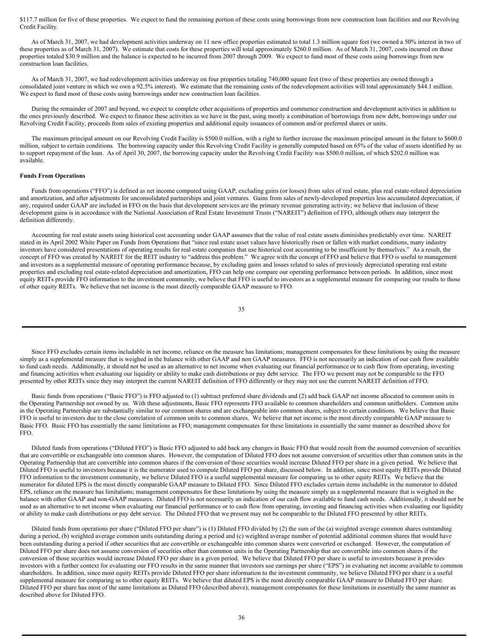\$117.7 million for five of these properties. We expect to fund the remaining portion of these costs using borrowings from new construction loan facilities and our Revolving Credit Facility.

As of March 31, 2007, we had development activities underway on 11 new office properties estimated to total 1.3 million square feet (we owned a 50% interest in two of these properties as of March 31, 2007). We estimate that costs for these properties will total approximately \$260.0 million. As of March 31, 2007, costs incurred on these properties totaled \$30.9 million and the balance is expected to be incurred from 2007 through 2009. We expect to fund most of these costs using borrowings from new construction loan facilities.

As of March 31, 2007, we had redevelopment activities underway on four properties totaling 740,000 square feet (two of these properties are owned through a consolidated joint venture in which we own a 92.5% interest). We estimate that the remaining costs of the redevelopment activities will total approximately \$44.1 million. We expect to fund most of these costs using borrowings under new construction loan facilities.

During the remainder of 2007 and beyond, we expect to complete other acquisitions of properties and commence construction and development activities in addition to the ones previously described. We expect to finance these activities as we have in the past, using mostly a combination of borrowings from new debt, borrowings under our Revolving Credit Facility, proceeds from sales of existing properties and additional equity issuances of common and/or preferred shares or units.

The maximum principal amount on our Revolving Credit Facility is \$500.0 million, with a right to further increase the maximum principal amount in the future to \$600.0 million, subject to certain conditions. The borrowing capacity under this Revolving Credit Facility is generally computed based on 65% of the value of assets identified by us to support repayment of the loan. As of April 30, 2007, the borrowing capacity under the Revolving Credit Facility was \$500.0 million, of which \$202.0 million was available.

## **Funds From Operations**

Funds from operations ("FFO") is defined as net income computed using GAAP, excluding gains (or losses) from sales of real estate, plus real estate-related depreciation and amortization, and after adjustments for unconsolidated partnerships and joint ventures. Gains from sales of newly-developed properties less accumulated depreciation, if any, required under GAAP are included in FFO on the basis that development services are the primary revenue generating activity; we believe that inclusion of these development gains is in accordance with the National Association of Real Estate Investment Trusts ("NAREIT") definition of FFO, although others may interpret the definition differently.

Accounting for real estate assets using historical cost accounting under GAAP assumes that the value of real estate assets diminishes predictably over time. NAREIT stated in its April 2002 White Paper on Funds from Operations that "since real estate asset values have historically risen or fallen with market conditions, many industry investors have considered presentations of operating results for real estate companies that use historical cost accounting to be insufficient by themselves." As a result, the concept of FFO was created by NAREIT for the REIT industry to "address this problem." We agree with the concept of FFO and believe that FFO is useful to management and investors as a supplemental measure of operating performance because, by excluding gains and losses related to sales of previously depreciated operating real estate properties and excluding real estate-related depreciation and amortization, FFO can help one compare our operating performance between periods. In addition, since most equity REITs provide FFO information to the investment community, we believe that FFO is useful to investors as a supplemental measure for comparing our results to those of other equity REITs. We believe that net income is the most directly comparable GAAP measure to FFO.

35

Since FFO excludes certain items includable in net income, reliance on the measure has limitations; management compensates for these limitations by using the measure simply as a supplemental measure that is weighed in the balance with other GAAP and non GAAP measures. FFO is not necessarily an indication of our cash flow available to fund cash needs. Additionally, it should not be used as an alternative to net income when evaluating our financial performance or to cash flow from operating, investing and financing activities when evaluating our liquidity or ability to make cash distributions or pay debt service. The FFO we present may not be comparable to the FFO presented by other REITs since they may interpret the current NAREIT definition of FFO differently or they may not use the current NAREIT definition of FFO.

Basic funds from operations ("Basic FFO") is FFO adjusted to (1) subtract preferred share dividends and (2) add back GAAP net income allocated to common units in the Operating Partnership not owned by us. With these adjustments, Basic FFO represents FFO available to common shareholders and common unitholders. Common units in the Operating Partnership are substantially similar to our common shares and are exchangeable into common shares, subject to certain conditions. We believe that Basic FFO is useful to investors due to the close correlation of common units to common shares. We believe that net income is the most directly comparable GAAP measure to Basic FFO. Basic FFO has essentially the same limitations as FFO; management compensates for these limitations in essentially the same manner as described above for FFO.

Diluted funds from operations ("Diluted FFO") is Basic FFO adjusted to add back any changes in Basic FFO that would result from the assumed conversion of securities that are convertible or exchangeable into common shares. However, the computation of Diluted FFO does not assume conversion of securities other than common units in the Operating Partnership that are convertible into common shares if the conversion of those securities would increase Diluted FFO per share in a given period. We believe that Diluted FFO is useful to investors because it is the numerator used to compute Diluted FFO per share, discussed below. In addition, since most equity REITs provide Diluted FFO information to the investment community, we believe Diluted FFO is a useful supplemental measure for comparing us to other equity REITs. We believe that the numerator for diluted EPS is the most directly comparable GAAP measure to Diluted FFO. Since Diluted FFO excludes certain items includable in the numerator to diluted EPS, reliance on the measure has limitations; management compensates for these limitations by using the measure simply as a supplemental measure that is weighed in the balance with other GAAP and non-GAAP measures. Diluted FFO is not necessarily an indication of our cash flow available to fund cash needs. Additionally, it should not be used as an alternative to net income when evaluating our financial performance or to cash flow from operating, investing and financing activities when evaluating our liquidity or ability to make cash distributions or pay debt service. The Diluted FFO that we present may not be comparable to the Diluted FFO presented by other REITs.

Diluted funds from operations per share ("Diluted FFO per share") is (1) Diluted FFO divided by (2) the sum of the (a) weighted average common shares outstanding during a period, (b) weighted average common units outstanding during a period and (c) weighted average number of potential additional common shares that would have been outstanding during a period if other securities that are convertible or exchangeable into common shares were converted or exchanged. However, the computation of Diluted FFO per share does not assume conversion of securities other than common units in the Operating Partnership that are convertible into common shares if the conversion of those securities would increase Diluted FFO per share in a given period. We believe that Diluted FFO per share is useful to investors because it provides investors with a further context for evaluating our FFO results in the same manner that investors use earnings per share ("EPS") in evaluating net income available to common shareholders. In addition, since most equity REITs provide Diluted FFO per share information to the investment community, we believe Diluted FFO per share is a useful supplemental measure for comparing us to other equity REITs. We believe that diluted EPS is the most directly comparable GAAP measure to Diluted FFO per share. Diluted FFO per share has most of the same limitations as Diluted FFO (described above); management compensates for these limitations in essentially the same manner as described above for Diluted FFO.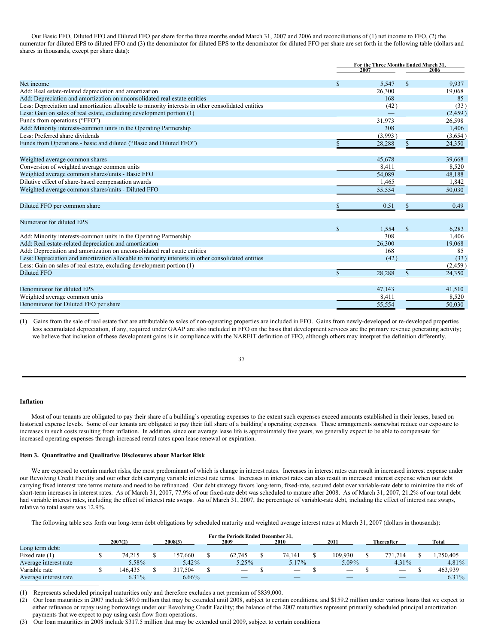Our Basic FFO, Diluted FFO and Diluted FFO per share for the three months ended March 31, 2007 and 2006 and reconciliations of (1) net income to FFO, (2) the numerator for diluted EPS to diluted FFO and (3) the denominator for diluted EPS to the denominator for diluted FFO per share are set forth in the following table (dollars and shares in thousands, except per share data):

|                                                                                                    | For the Three Months Ended March 31, |         |               |          |  |
|----------------------------------------------------------------------------------------------------|--------------------------------------|---------|---------------|----------|--|
|                                                                                                    |                                      | 2007    |               | 2006     |  |
| Net income                                                                                         | \$                                   | 5,547   | <sup>\$</sup> | 9,937    |  |
| Add: Real estate-related depreciation and amortization                                             |                                      | 26,300  |               | 19,068   |  |
| Add: Depreciation and amortization on unconsolidated real estate entities                          |                                      | 168     |               | 85       |  |
| Less: Depreciation and amortization allocable to minority interests in other consolidated entities |                                      | (42)    |               | (33)     |  |
| Less: Gain on sales of real estate, excluding development portion (1)                              |                                      |         |               | (2, 459) |  |
| Funds from operations ("FFO")                                                                      |                                      | 31,973  |               | 26,598   |  |
| Add: Minority interests-common units in the Operating Partnership                                  |                                      | 308     |               | 1,406    |  |
| Less: Preferred share dividends                                                                    |                                      | (3,993) |               | (3,654)  |  |
| Funds from Operations - basic and diluted ("Basic and Diluted FFO")                                | S                                    | 28,288  | \$            | 24,350   |  |
| Weighted average common shares                                                                     |                                      | 45,678  |               | 39,668   |  |
| Conversion of weighted average common units                                                        |                                      | 8,411   |               | 8,520    |  |
| Weighted average common shares/units - Basic FFO                                                   |                                      | 54,089  |               | 48,188   |  |
| Dilutive effect of share-based compensation awards                                                 |                                      | 1,465   |               | 1,842    |  |
| Weighted average common shares/units - Diluted FFO                                                 |                                      | 55,554  |               | 50,030   |  |
| Diluted FFO per common share                                                                       |                                      | 0.51    |               | 0.49     |  |
| Numerator for diluted EPS                                                                          |                                      |         |               |          |  |
|                                                                                                    | \$.                                  | 1,554   | <sup>\$</sup> | 6,283    |  |
| Add: Minority interests-common units in the Operating Partnership                                  |                                      | 308     |               | 1,406    |  |
| Add: Real estate-related depreciation and amortization                                             |                                      | 26,300  |               | 19,068   |  |
| Add: Depreciation and amortization on unconsolidated real estate entities                          |                                      | 168     |               | 85       |  |
| Less: Depreciation and amortization allocable to minority interests in other consolidated entities |                                      | (42)    |               | (33)     |  |
| Less: Gain on sales of real estate, excluding development portion (1)                              |                                      |         |               | (2.459)  |  |
| <b>Diluted FFO</b>                                                                                 | S                                    | 28,288  |               | 24,350   |  |
| Denominator for diluted EPS                                                                        |                                      | 47,143  |               | 41,510   |  |
| Weighted average common units                                                                      |                                      | 8,411   |               | 8,520    |  |
| Denominator for Diluted FFO per share                                                              |                                      | 55,554  |               | 50,030   |  |

(1) Gains from the sale of real estate that are attributable to sales of non-operating properties are included in FFO. Gains from newly-developed or re-developed properties less accumulated depreciation, if any, required under GAAP are also included in FFO on the basis that development services are the primary revenue generating activity; we believe that inclusion of these development gains is in compliance with the NAREIT definition of FFO, although others may interpret the definition differently.

#### <span id="page-22-0"></span>37

#### **Inflation**

Most of our tenants are obligated to pay their share of a building's operating expenses to the extent such expenses exceed amounts established in their leases, based on historical expense levels. Some of our tenants are obligated to pay their full share of a building's operating expenses. These arrangements somewhat reduce our exposure to increases in such costs resulting from inflation. In addition, since our average lease life is approximately five years, we generally expect to be able to compensate for increased operating expenses through increased rental rates upon lease renewal or expiration.

## **Item 3. Quantitative and Qualitative Disclosures about Market Risk**

We are exposed to certain market risks, the most predominant of which is change in interest rates. Increases in interest rates can result in increased interest expense under our Revolving Credit Facility and our other debt carrying variable interest rate terms. Increases in interest rates can also result in increased interest expense when our debt carrying fixed interest rate terms mature and need to be refinanced. Our debt strategy favors long-term, fixed-rate, secured debt over variable-rate debt to minimize the risk of short-term increases in interest rates. As of March 31, 2007, 77.9% of our fixed-rate debt was scheduled to mature after 2008. As of March 31, 2007, 21.2% of our total debt had variable interest rates, including the effect of interest rate swaps. As of March 31, 2007, the percentage of variable-rate debt, including the effect of interest rate swaps, relative to total assets was 12.9%.

The following table sets forth our long-term debt obligations by scheduled maturity and weighted average interest rates at March 31, 2007 (dollars in thousands):

|                       | For the Periods Ended December 31. |          |  |          |  |        |  |        |                          |  |            |          |
|-----------------------|------------------------------------|----------|--|----------|--|--------|--|--------|--------------------------|--|------------|----------|
|                       |                                    | 2007(2)  |  | 2008(3)  |  | 2009   |  | 2010   | 2011                     |  | Thereafter | Total    |
| Long term debt:       |                                    |          |  |          |  |        |  |        |                          |  |            |          |
| Fixed rate (1)        |                                    | 74.215   |  | 157.660  |  | 62.745 |  | 74.141 | 109.930                  |  | 771.714    | .250.405 |
| Average interest rate |                                    | 5.58%    |  | $5.42\%$ |  | 5.25%  |  | 5.17%  | $5.09\%$                 |  | $4.31\%$   | $4.81\%$ |
| Variable rate         |                                    | 146.435  |  | 317.504  |  |        |  |        | $\overline{\phantom{a}}$ |  |            | 463.939  |
| Average interest rate |                                    | $6.31\%$ |  | $6.66\%$ |  |        |  | _      | $\overline{\phantom{a}}$ |  |            | $6.31\%$ |

(1) Represents scheduled principal maturities only and therefore excludes a net premium of \$839,000.

(2) Our loan maturities in 2007 include \$49.0 million that may be extended until 2008, subject to certain conditions, and \$159.2 million under various loans that we expect to either refinance or repay using borrowings under our Revolving Credit Facility; the balance of the 2007 maturities represent primarily scheduled principal amortization payments that we expect to pay using cash flow from operations.

(3) Our loan maturities in 2008 include \$317.5 million that may be extended until 2009, subject to certain conditions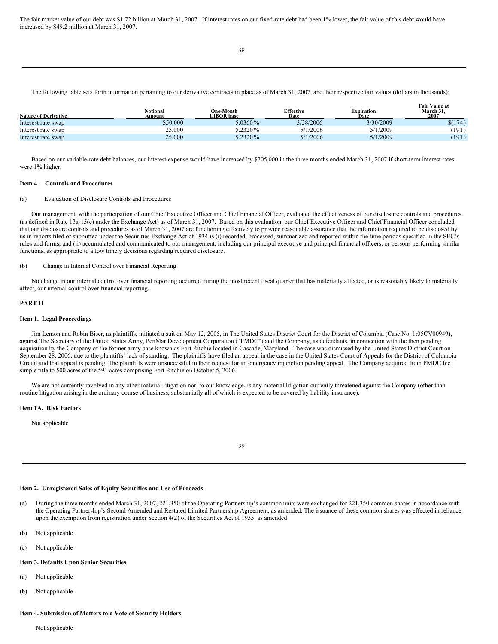The fair market value of our debt was \$1.72 billion at March 31, 2007. If interest rates on our fixed-rate debt had been 1% lower, the fair value of this debt would have increased by \$49.2 million at March 31, 2007.

38

The following table sets forth information pertaining to our derivative contracts in place as of March 31, 2007, and their respective fair values (dollars in thousands):

| <b>Nature of Derivative</b> | Votional<br>Amount | One-Month<br><b>LIBOR</b> base | <b>Effective</b><br>Date | Expiration<br>Date | Fair Value at<br>March 31<br>2007 |
|-----------------------------|--------------------|--------------------------------|--------------------------|--------------------|-----------------------------------|
| Interest rate swap          | \$50,000           | 5.0360%                        | 3/28/2006                | 3/30/2009          | \$(174)                           |
| Interest rate swap          | 25,000             | 5.2320%                        | 5/1/2006                 | 5/1/2009           | (191)                             |
| Interest rate swap          | 25,000             | 5.2320 %                       | 5/1/2006                 | 5/1/2009           | (191)                             |

**Fair Value at**

Based on our variable-rate debt balances, our interest expense would have increased by \$705,000 in the three months ended March 31, 2007 if short-term interest rates were 1% higher.

#### <span id="page-23-0"></span>**Item 4. Controls and Procedures**

#### (a) Evaluation of Disclosure Controls and Procedures

Our management, with the participation of our Chief Executive Officer and Chief Financial Officer, evaluated the effectiveness of our disclosure controls and procedures (as defined in Rule 13a-15(e) under the Exchange Act) as of March 31, 2007. Based on this evaluation, our Chief Executive Officer and Chief Financial Officer concluded that our disclosure controls and procedures as of March 31, 2007 are functioning effectively to provide reasonable assurance that the information required to be disclosed by us in reports filed or submitted under the Securities Exchange Act of 1934 is (i) recorded, processed, summarized and reported within the time periods specified in the SEC's rules and forms, and (ii) accumulated and communicated to our management, including our principal executive and principal financial officers, or persons performing similar functions, as appropriate to allow timely decisions regarding required disclosure.

#### (b) Change in Internal Control over Financial Reporting

No change in our internal control over financial reporting occurred during the most recent fiscal quarter that has materially affected, or is reasonably likely to materially affect, our internal control over financial reporting.

#### <span id="page-23-1"></span>**PART II**

#### <span id="page-23-2"></span>**Item 1. Legal Proceedings**

Jim Lemon and Robin Biser, as plaintiffs, initiated a suit on May 12, 2005, in The United States District Court for the District of Columbia (Case No. 1:05CV00949), against The Secretary of the United States Army, PenMar Development Corporation ("PMDC") and the Company, as defendants, in connection with the then pending acquisition by the Company of the former army base known as Fort Ritchie located in Cascade, Maryland. The case was dismissed by the United States District Court on September 28, 2006, due to the plaintiffs' lack of standing. The plaintiffs have filed an appeal in the case in the United States Court of Appeals for the District of Columbia Circuit and that appeal is pending. The plaintiffs were unsuccessful in their request for an emergency injunction pending appeal. The Company acquired from PMDC fee simple title to 500 acres of the 591 acres comprising Fort Ritchie on October 5, 2006.

We are not currently involved in any other material litigation nor, to our knowledge, is any material litigation currently threatened against the Company (other than routine litigation arising in the ordinary course of business, substantially all of which is expected to be covered by liability insurance).

#### **Item 1A. Risk Factors**

<span id="page-23-3"></span>Not applicable

#### <span id="page-23-4"></span>39

#### **Item 2. Unregistered Sales of Equity Securities and Use of Proceeds**

- (a) During the three months ended March 31, 2007, 221,350 of the Operating Partnership's common units were exchanged for 221,350 common shares in accordance with the Operating Partnership's Second Amended and Restated Limited Partnership Agreement, as amended. The issuance of these common shares was effected in reliance upon the exemption from registration under Section 4(2) of the Securities Act of 1933, as amended.
- (b) Not applicable
- (c) Not applicable

## <span id="page-23-5"></span>**Item 3. Defaults Upon Senior Securities**

- (a) Not applicable
- (b) Not applicable

#### **Item 4. Submission of Matters to a Vote of Security Holders**

<span id="page-23-6"></span>Not applicable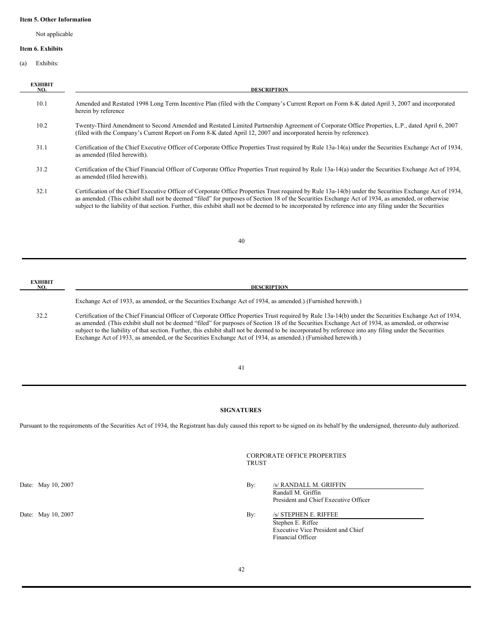#### **Item 5. Other Information**

<span id="page-24-1"></span><span id="page-24-0"></span>Not applicable

### **Item 6. Exhibits**

(a) Exhibits:

| <b>EXHIBIT</b><br>NO. | <b>DESCRIPTION</b>                                                                                                                                                                                                                                                                                                                                                                                                                                                       |
|-----------------------|--------------------------------------------------------------------------------------------------------------------------------------------------------------------------------------------------------------------------------------------------------------------------------------------------------------------------------------------------------------------------------------------------------------------------------------------------------------------------|
| 10.1                  | Amended and Restated 1998 Long Term Incentive Plan (filed with the Company's Current Report on Form 8-K dated April 3, 2007 and incorporated<br>herein by reference                                                                                                                                                                                                                                                                                                      |
| 10.2                  | Twenty-Third Amendment to Second Amended and Restated Limited Partnership Agreement of Corporate Office Properties, L.P., dated April 6, 2007<br>(filed with the Company's Current Report on Form 8-K dated April 12, 2007 and incorporated herein by reference).                                                                                                                                                                                                        |
| 31.1                  | Certification of the Chief Executive Officer of Corporate Office Properties Trust required by Rule 13a-14(a) under the Securities Exchange Act of 1934,<br>as amended (filed herewith).                                                                                                                                                                                                                                                                                  |
| 31.2                  | Certification of the Chief Financial Officer of Corporate Office Properties Trust required by Rule 13a-14(a) under the Securities Exchange Act of 1934,<br>as amended (filed herewith).                                                                                                                                                                                                                                                                                  |
| 32.1                  | Certification of the Chief Executive Officer of Corporate Office Properties Trust required by Rule 13a-14(b) under the Securities Exchange Act of 1934,<br>as amended. (This exhibit shall not be deemed "filed" for purposes of Section 18 of the Securities Exchange Act of 1934, as amended, or otherwise<br>subject to the liability of that section. Further, this exhibit shall not be deemed to be incorporated by reference into any filing under the Securities |

# 40

# **EXHIBIT NO. DESCRIPTION** Exchange Act of 1933, as amended, or the Securities Exchange Act of 1934, as amended.) (Furnished herewith.) 32.2 Certification of the Chief Financial Officer of Corporate Office Properties Trust required by Rule 13a-14(b) under the Securities Exchange Act of 1934, as amended. (This exhibit shall not be deemed "filed" for purposes of Section 18 of the Securities Exchange Act of 1934, as amended, or otherwise subject to the liability of that section. Further, this exhibit shall not be deemed to be incorporated by reference into any filing under the Securities

41

Exchange Act of 1933, as amended, or the Securities Exchange Act of 1934, as amended.) (Furnished herewith.)

## <span id="page-24-2"></span>**SIGNATURES**

Pursuant to the requirements of the Securities Act of 1934, the Registrant has duly caused this report to be signed on its behalf by the undersigned, thereunto duly authorized.

CORPORATE OFFICE PROPERTIES TRUST

Date: May 10, 2007 By: /s/ RANDALL M. GRIFFIN Randall M. Griffin President and Chief Executive Officer

Date: May 10, 2007 By: /s/ STEPHEN E. RIFFEE Stephen E. Riffee Executive Vice President and Chief Financial Officer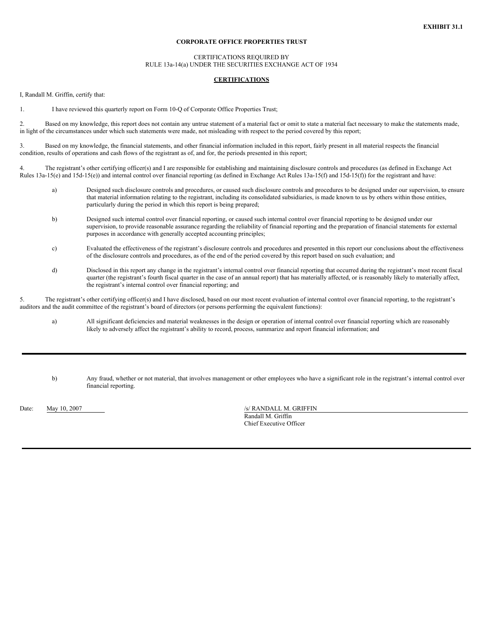### CERTIFICATIONS REQUIRED BY RULE 13a-14(a) UNDER THE SECURITIES EXCHANGE ACT OF 1934

# **CERTIFICATIONS**

I, Randall M. Griffin, certify that:

1. I have reviewed this quarterly report on Form 10-Q of Corporate Office Properties Trust;

2. Based on my knowledge, this report does not contain any untrue statement of a material fact or omit to state a material fact necessary to make the statements made, in light of the circumstances under which such statements were made, not misleading with respect to the period covered by this report;

3. Based on my knowledge, the financial statements, and other financial information included in this report, fairly present in all material respects the financial condition, results of operations and cash flows of the registrant as of, and for, the periods presented in this report;

4. The registrant's other certifying officer(s) and I are responsible for establishing and maintaining disclosure controls and procedures (as defined in Exchange Act Rules 13a-15(e) and 15d-15(e)) and internal control over financial reporting (as defined in Exchange Act Rules 13a-15(f) and 15d-15(f)) for the registrant and have:

- a) Designed such disclosure controls and procedures, or caused such disclosure controls and procedures to be designed under our supervision, to ensure that material information relating to the registrant, including its consolidated subsidiaries, is made known to us by others within those entities, particularly during the period in which this report is being prepared;
- b) Designed such internal control over financial reporting, or caused such internal control over financial reporting to be designed under our supervision, to provide reasonable assurance regarding the reliability of financial reporting and the preparation of financial statements for external purposes in accordance with generally accepted accounting principles;
- c) Evaluated the effectiveness of the registrant's disclosure controls and procedures and presented in this report our conclusions about the effectiveness of the disclosure controls and procedures, as of the end of the period covered by this report based on such evaluation; and
- d) Disclosed in this report any change in the registrant's internal control over financial reporting that occurred during the registrant's most recent fiscal quarter (the registrant's fourth fiscal quarter in the case of an annual report) that has materially affected, or is reasonably likely to materially affect, the registrant's internal control over financial reporting; and

5. The registrant's other certifying officer(s) and I have disclosed, based on our most recent evaluation of internal control over financial reporting, to the registrant's auditors and the audit committee of the registrant's board of directors (or persons performing the equivalent functions):

- a) All significant deficiencies and material weaknesses in the design or operation of internal control over financial reporting which are reasonably likely to adversely affect the registrant's ability to record, process, summarize and report financial information; and
- b) Any fraud, whether or not material, that involves management or other employees who have a significant role in the registrant's internal control over financial reporting.

Date: May 10, 2007 /s/ RANDALL M. GRIFFIN Randall M. Griffin Chief Executive Officer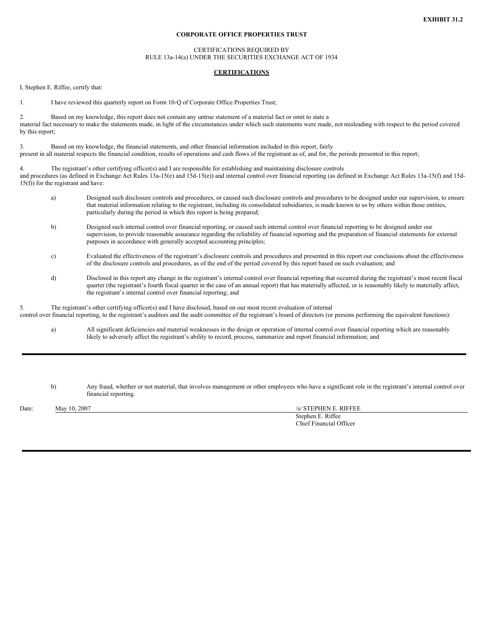## CERTIFICATIONS REQUIRED BY RULE 13a-14(a) UNDER THE SECURITIES EXCHANGE ACT OF 1934

#### **CERTIFICATIONS**

I, Stephen E. Riffee, certify that:

1. I have reviewed this quarterly report on Form 10-Q of Corporate Office Properties Trust;

2. Based on my knowledge, this report does not contain any untrue statement of a material fact or omit to state a material fact necessary to make the statements made, in light of the circumstances under which such statements were made, not misleading with respect to the period covered by this report;

3. Based on my knowledge, the financial statements, and other financial information included in this report, fairly present in all material respects the financial condition, results of operations and cash flows of the registrant as of, and for, the periods presented in this report;

4. The registrant's other certifying officer(s) and I are responsible for establishing and maintaining disclosure controls and procedures (as defined in Exchange Act Rules 13a-15(e) and 15d-15(e)) and internal control over financial reporting (as defined in Exchange Act Rules 13a-15(f) and 15d-15(f)) for the registrant and have:

- a) Designed such disclosure controls and procedures, or caused such disclosure controls and procedures to be designed under our supervision, to ensure that material information relating to the registrant, including its consolidated subsidiaries, is made known to us by others within those entities, particularly during the period in which this report is being prepared;
- b) Designed such internal control over financial reporting, or caused such internal control over financial reporting to be designed under our supervision, to provide reasonable assurance regarding the reliability of financial reporting and the preparation of financial statements for external purposes in accordance with generally accepted accounting principles;
- c) Evaluated the effectiveness of the registrant's disclosure controls and procedures and presented in this report our conclusions about the effectiveness of the disclosure controls and procedures, as of the end of the period covered by this report based on such evaluation; and
- d) Disclosed in this report any change in the registrant's internal control over financial reporting that occurred during the registrant's most recent fiscal quarter (the registrant's fourth fiscal quarter in the case of an annual report) that has materially affected, or is reasonably likely to materially affect, the registrant's internal control over financial reporting; and

5. The registrant's other certifying officer(s) and I have disclosed, based on our most recent evaluation of internal

control over financial reporting, to the registrant's auditors and the audit committee of the registrant's board of directors (or persons performing the equivalent functions):

a) All significant deficiencies and material weaknesses in the design or operation of internal control over financial reporting which are reasonably likely to adversely affect the registrant's ability to record, process, summarize and report financial information; and

b) Any fraud, whether or not material, that involves management or other employees who have a significant role in the registrant's internal control over financial reporting.

Date: May 10, 2007 /s/ STEPHEN E. RIFFEE

Stephen E. Riffee Chief Financial Officer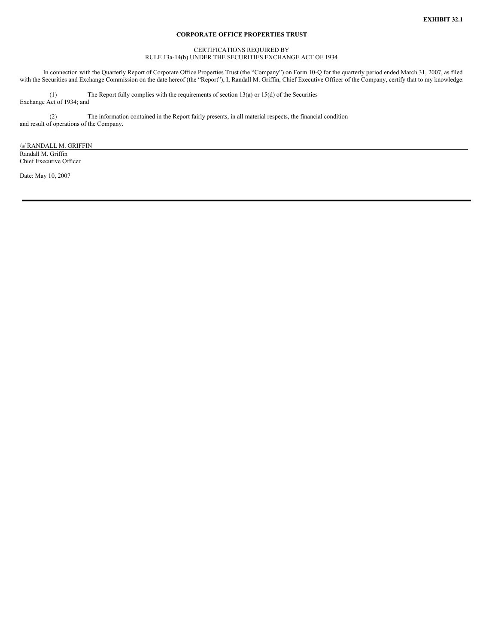## CERTIFICATIONS REQUIRED BY RULE 13a-14(b) UNDER THE SECURITIES EXCHANGE ACT OF 1934

In connection with the Quarterly Report of Corporate Office Properties Trust (the "Company") on Form 10-Q for the quarterly period ended March 31, 2007, as filed with the Securities and Exchange Commission on the date hereof (the "Report"), I, Randall M. Griffin, Chief Executive Officer of the Company, certify that to my knowledge:

(1) The Report fully complies with the requirements of section 13(a) or 15(d) of the Securities Exchange Act of 1934; and

(2) The information contained in the Report fairly presents, in all material respects, the financial condition and result of operations of the Company.

/s/ RANDALL M. GRIFFIN Randall M. Griffin Chief Executive Officer

Date: May 10, 2007